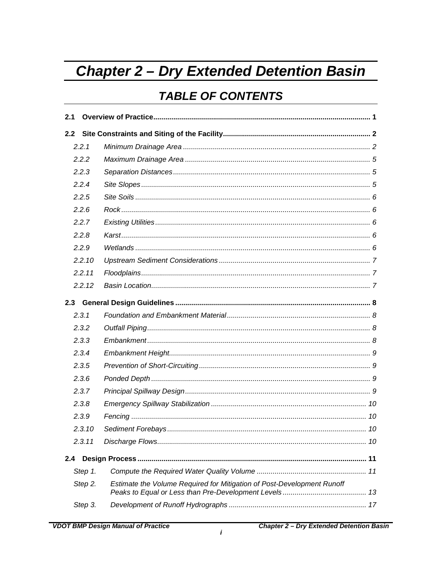# <span id="page-0-0"></span>**Chapter 2 - Dry Extended Detention Basin**

## **TABLE OF CONTENTS**

| 2.1 |         |                                                                        |
|-----|---------|------------------------------------------------------------------------|
| 2.2 |         |                                                                        |
|     | 2.2.1   |                                                                        |
|     | 2.2.2   |                                                                        |
|     | 2.2.3   |                                                                        |
|     | 2.2.4   |                                                                        |
|     | 2.2.5   |                                                                        |
|     | 2.2.6   |                                                                        |
|     | 2.2.7   |                                                                        |
|     | 2.2.8   |                                                                        |
|     | 2.2.9   |                                                                        |
|     | 2.2.10  |                                                                        |
|     | 2.2.11  |                                                                        |
|     | 2.2.12  |                                                                        |
|     |         |                                                                        |
|     | 2.3.1   |                                                                        |
|     | 2.3.2   |                                                                        |
|     | 2.3.3   |                                                                        |
|     | 2.3.4   |                                                                        |
|     | 2.3.5   |                                                                        |
|     | 2.3.6   |                                                                        |
|     | 2.3.7   |                                                                        |
|     | 2.3.8   |                                                                        |
|     | 2.3.9   |                                                                        |
|     | 2.3.10  |                                                                        |
|     | 2.3.11  |                                                                        |
| 2.4 |         |                                                                        |
|     | Step 1. |                                                                        |
|     | Step 2. | Estimate the Volume Required for Mitigation of Post-Development Runoff |
|     | Step 3. |                                                                        |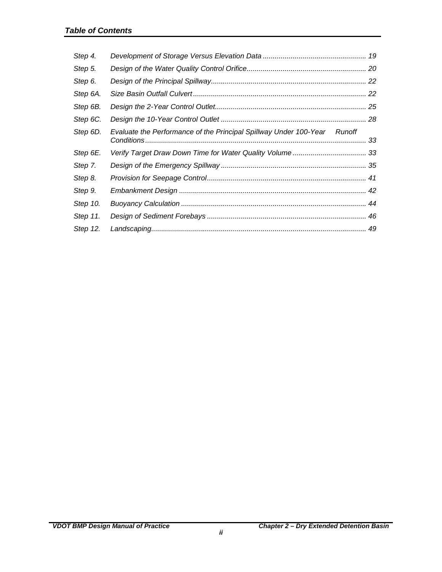| Step 4.  |                                                                          |    |
|----------|--------------------------------------------------------------------------|----|
| Step 5.  |                                                                          |    |
| Step 6.  |                                                                          |    |
| Step 6A. |                                                                          |    |
| Step 6B. |                                                                          |    |
| Step 6C. |                                                                          |    |
| Step 6D. | Evaluate the Performance of the Principal Spillway Under 100-Year Runoff | 33 |
| Step 6E. |                                                                          |    |
| Step 7.  |                                                                          |    |
| Step 8.  |                                                                          |    |
| Step 9.  |                                                                          |    |
| Step 10. |                                                                          |    |
| Step 11. |                                                                          |    |
| Step 12. |                                                                          |    |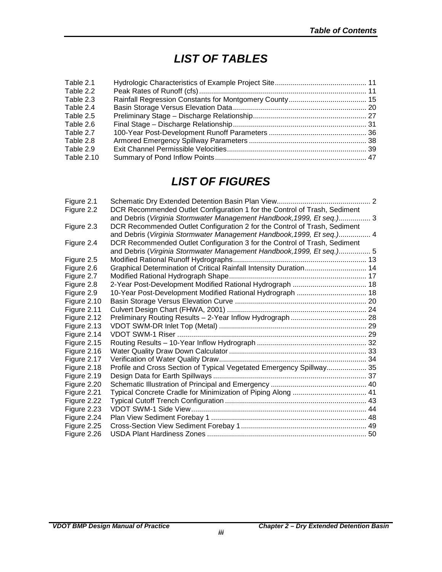## *LIST OF TABLES*

| Table 2.1         |  |
|-------------------|--|
| Table 2.2         |  |
| Table 2.3         |  |
| Table 2.4         |  |
| Table 2.5         |  |
| Table 2.6         |  |
| Table 2.7         |  |
| Table 2.8         |  |
| Table 2.9         |  |
| <b>Table 2.10</b> |  |
|                   |  |

## *LIST OF FIGURES*

| Figure 2.1  |                                                                           |  |
|-------------|---------------------------------------------------------------------------|--|
| Figure 2.2  | DCR Recommended Outlet Configuration 1 for the Control of Trash, Sediment |  |
|             | and Debris (Virginia Stormwater Management Handbook, 1999, Et seq.) 3     |  |
| Figure 2.3  | DCR Recommended Outlet Configuration 2 for the Control of Trash, Sediment |  |
|             | and Debris (Virginia Stormwater Management Handbook, 1999, Et seq.) 4     |  |
| Figure 2.4  | DCR Recommended Outlet Configuration 3 for the Control of Trash, Sediment |  |
|             | and Debris (Virginia Stormwater Management Handbook, 1999, Et seq.) 5     |  |
| Figure 2.5  |                                                                           |  |
| Figure 2.6  | Graphical Determination of Critical Rainfall Intensity Duration 14        |  |
| Figure 2.7  |                                                                           |  |
| Figure 2.8  |                                                                           |  |
| Figure 2.9  | 10-Year Post-Development Modified Rational Hydrograph  18                 |  |
| Figure 2.10 |                                                                           |  |
| Figure 2.11 |                                                                           |  |
| Figure 2.12 |                                                                           |  |
| Figure 2.13 |                                                                           |  |
| Figure 2.14 |                                                                           |  |
| Figure 2.15 |                                                                           |  |
| Figure 2.16 |                                                                           |  |
| Figure 2.17 |                                                                           |  |
| Figure 2.18 | Profile and Cross Section of Typical Vegetated Emergency Spillway 35      |  |
| Figure 2.19 |                                                                           |  |
| Figure 2.20 |                                                                           |  |
| Figure 2.21 |                                                                           |  |
| Figure 2.22 |                                                                           |  |
| Figure 2.23 |                                                                           |  |
| Figure 2.24 |                                                                           |  |
| Figure 2.25 |                                                                           |  |
| Figure 2.26 |                                                                           |  |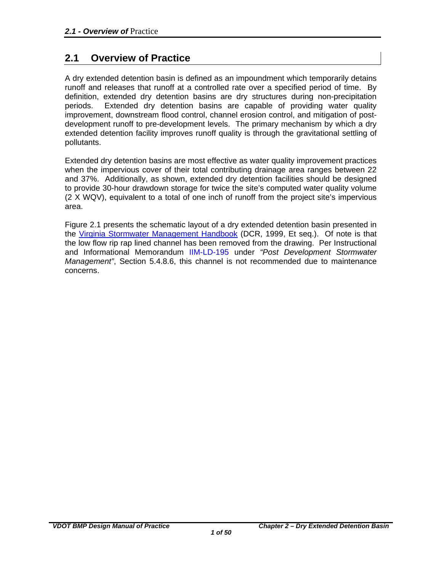## <span id="page-4-0"></span>**2.1 Overview of Practice**

A dry extended detention basin is defined as an impoundment which temporarily detains runoff and releases that runoff at a controlled rate over a specified period of time. By definition, extended dry detention basins are dry structures during non-precipitation periods. Extended dry detention basins are capable of providing water quality improvement, downstream flood control, channel erosion control, and mitigation of postdevelopment runoff to pre-development levels. The primary mechanism by which a dry extended detention facility improves runoff quality is through the gravitational settling of pollutants.

Extended dry detention basins are most effective as water quality improvement practices when the impervious cover of their total contributing drainage area ranges between 22 and 37%. Additionally, as shown, extended dry detention facilities should be designed to provide 30-hour drawdown storage for twice the site's computed water quality volume (2 X WQV), equivalent to a total of one inch of runoff from the project site's impervious area.

Figure 2.1 presents the schematic layout of a dry extended detention basin presented in the [Virginia Stormwater Management Handbook](http://www.dcr.virginia.gov/stormwater_management/stormwat.shtml) (DCR, 1999, Et seq.). Of note is that the low flow rip rap lined channel has been removed from the drawing. Per Instructional and Informational Memorandum [IIM-LD-195](http://www.extranet.vdot.state.va.us/locdes/electronic_pubs/iim/IIM195.pdf) under *"Post Development Stormwater Management"*, Section 5.4.8.6, this channel is not recommended due to maintenance concerns.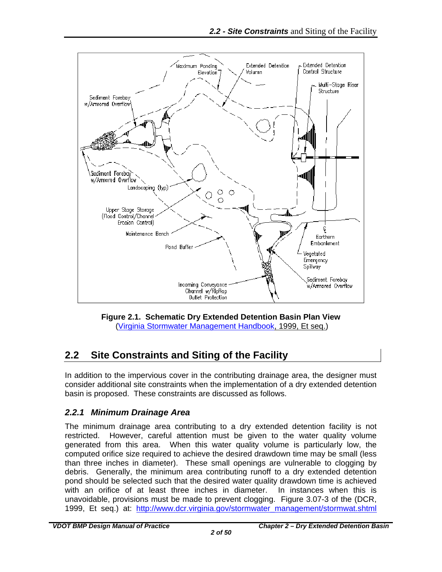

**Figure 2.1. Schematic Dry Extended Detention Basin Plan View**  [\(Virginia Stormwater Management Handbook,](http://www.dcr.virginia.gov/stormwater_management/stormwat.shtml) 1999, Et seq.)

## <span id="page-5-2"></span><span id="page-5-0"></span>**2.2 Site Constraints and Siting of the Facility**

In addition to the impervious cover in the contributing drainage area, the designer must consider additional site constraints when the implementation of a dry extended detention basin is proposed. These constraints are discussed as follows.

## <span id="page-5-1"></span>*2.2.1 Minimum Drainage Area*

The minimum drainage area contributing to a dry extended detention facility is not restricted. However, careful attention must be given to the water quality volume generated from this area. When this water quality volume is particularly low, the computed orifice size required to achieve the desired drawdown time may be small (less than three inches in diameter). These small openings are vulnerable to clogging by debris. Generally, the minimum area contributing runoff to a dry extended detention pond should be selected such that the desired water quality drawdown time is achieved with an orifice of at least three inches in diameter. In instances when this is unavoidable, provisions must be made to prevent clogging. Figure 3.07-3 of the (DCR, 1999, Et seq.) at: [http://www.dcr.virginia.gov/stormwater\\_management/stormwat.shtml](http://www.dcr.virginia.gov/stormwater_management/stormwat.shtml)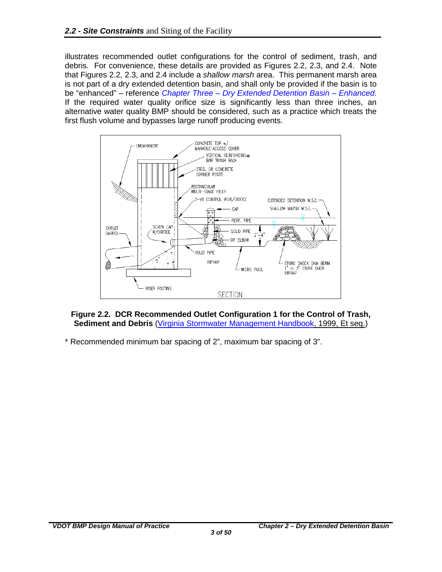illustrates recommended outlet configurations for the control of sediment, trash, and debris. For convenience, these details are provided as Figures 2.2, 2.3, and 2.4. Note that Figures 2.2, 2.3, and 2.4 include a *shallow marsh* area. This permanent marsh area is not part of a dry extended detention basin, and shall only be provided if the basin is to be "enhanced" – reference *Chapter Three – [Dry Extended Detention Basin –](#page-0-0) Enhanced*. If the required water quality orifice size is significantly less than three inches, an alternative water quality BMP should be considered, such as a practice which treats the first flush volume and bypasses large runoff producing events.



<span id="page-6-0"></span>**Figure 2.2. DCR Recommended Outlet Configuration 1 for the Control of Trash, Sediment and Debris** [\(Virginia Stormwater Management Handbook,](http://www.dcr.virginia.gov/stormwater_management/stormwat.shtml) 1999, Et seq.)

\* Recommended minimum bar spacing of 2", maximum bar spacing of 3".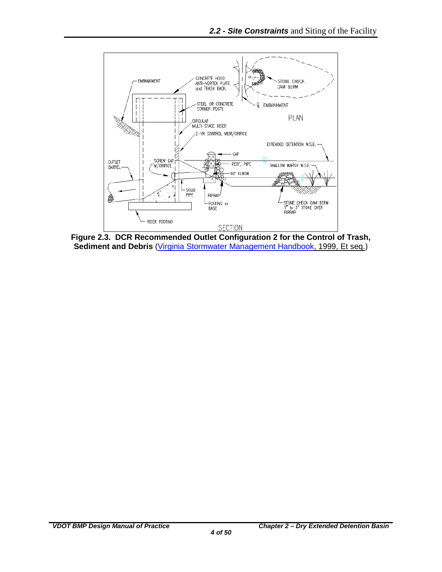

<span id="page-7-0"></span>**Figure 2.3. DCR Recommended Outlet Configuration 2 for the Control of Trash, Sediment and Debris** [\(Virginia Stormwater Management Handbook,](http://www.dcr.virginia.gov/stormwater_management/stormwat.shtml) 1999, Et seq.)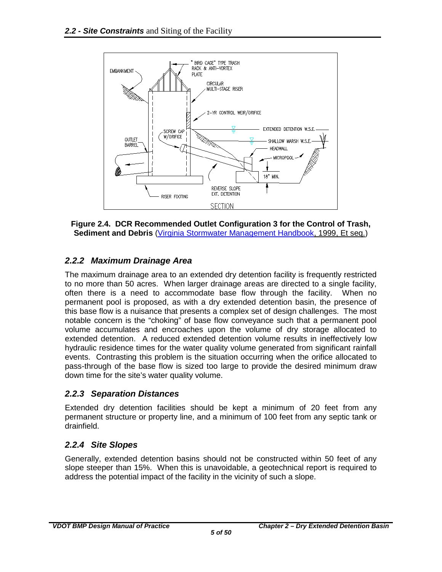

<span id="page-8-3"></span>**Figure 2.4. DCR Recommended Outlet Configuration 3 for the Control of Trash, Sediment and Debris** [\(Virginia Stormwater Management Handbook,](http://www.dcr.virginia.gov/stormwater_management/stormwat.shtml) 1999, Et seq.)

## <span id="page-8-0"></span>*2.2.2 Maximum Drainage Area*

The maximum drainage area to an extended dry detention facility is frequently restricted to no more than 50 acres. When larger drainage areas are directed to a single facility, often there is a need to accommodate base flow through the facility. When no permanent pool is proposed, as with a dry extended detention basin, the presence of this base flow is a nuisance that presents a complex set of design challenges. The most notable concern is the "choking" of base flow conveyance such that a permanent pool volume accumulates and encroaches upon the volume of dry storage allocated to extended detention. A reduced extended detention volume results in ineffectively low hydraulic residence times for the water quality volume generated from significant rainfall events. Contrasting this problem is the situation occurring when the orifice allocated to pass-through of the base flow is sized too large to provide the desired minimum draw down time for the site's water quality volume.

#### <span id="page-8-1"></span>*2.2.3 Separation Distances*

Extended dry detention facilities should be kept a minimum of 20 feet from any permanent structure or property line, and a minimum of 100 feet from any septic tank or drainfield.

## <span id="page-8-2"></span>*2.2.4 Site Slopes*

Generally, extended detention basins should not be constructed within 50 feet of any slope steeper than 15%. When this is unavoidable, a geotechnical report is required to address the potential impact of the facility in the vicinity of such a slope.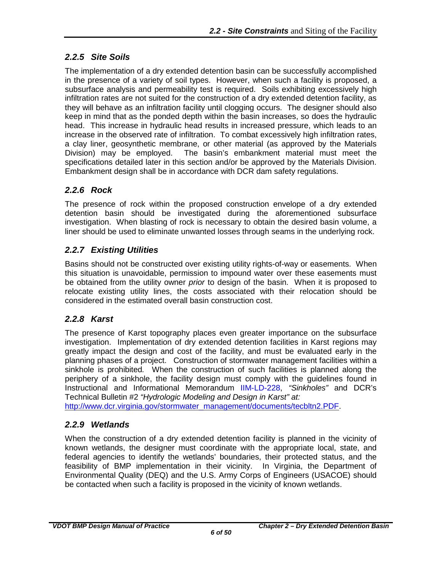## <span id="page-9-0"></span>*2.2.5 Site Soils*

The implementation of a dry extended detention basin can be successfully accomplished in the presence of a variety of soil types. However, when such a facility is proposed, a subsurface analysis and permeability test is required. Soils exhibiting excessively high infiltration rates are not suited for the construction of a dry extended detention facility, as they will behave as an infiltration facility until clogging occurs. The designer should also keep in mind that as the ponded depth within the basin increases, so does the hydraulic head. This increase in hydraulic head results in increased pressure, which leads to an increase in the observed rate of infiltration. To combat excessively high infiltration rates, a clay liner, geosynthetic membrane, or other material (as approved by the Materials<br>Division) may be employed. The basin's embankment material must meet the The basin's embankment material must meet the specifications detailed later in this section and/or be approved by the Materials Division. Embankment design shall be in accordance with DCR dam safety regulations.

## <span id="page-9-1"></span>*2.2.6 Rock*

The presence of rock within the proposed construction envelope of a dry extended detention basin should be investigated during the aforementioned subsurface investigation. When blasting of rock is necessary to obtain the desired basin volume, a liner should be used to eliminate unwanted losses through seams in the underlying rock.

## <span id="page-9-2"></span>*2.2.7 Existing Utilities*

Basins should not be constructed over existing utility rights-of-way or easements. When this situation is unavoidable, permission to impound water over these easements must be obtained from the utility owner *prior* to design of the basin. When it is proposed to relocate existing utility lines, the costs associated with their relocation should be considered in the estimated overall basin construction cost.

## <span id="page-9-3"></span>*2.2.8 Karst*

The presence of Karst topography places even greater importance on the subsurface investigation. Implementation of dry extended detention facilities in Karst regions may greatly impact the design and cost of the facility, and must be evaluated early in the planning phases of a project. Construction of stormwater management facilities within a sinkhole is prohibited*.* When the construction of such facilities is planned along the periphery of a sinkhole, the facility design must comply with the guidelines found in Instructional and Informational Memorandum [IIM-LD-228,](http://www.extranet.vdot.state.va.us/locdes/electronic_pubs/iim/IIM228.pdf) *"Sinkholes"* and DCR's Technical Bulletin #2 *"Hydrologic Modeling and Design in Karst" at:*

[http://www.dcr.virginia.gov/stormwater\\_management/documents/tecbltn2.PDF.](http://www.dcr.virginia.gov/stormwater_management/documents/tecbltn2.PDF)

## <span id="page-9-4"></span>*2.2.9 Wetlands*

<span id="page-9-5"></span>When the construction of a dry extended detention facility is planned in the vicinity of known wetlands, the designer must coordinate with the appropriate local, state, and federal agencies to identify the wetlands' boundaries, their protected status, and the feasibility of BMP implementation in their vicinity. In Virginia, the Department of Environmental Quality (DEQ) and the U.S. Army Corps of Engineers (USACOE) should be contacted when such a facility is proposed in the vicinity of known wetlands.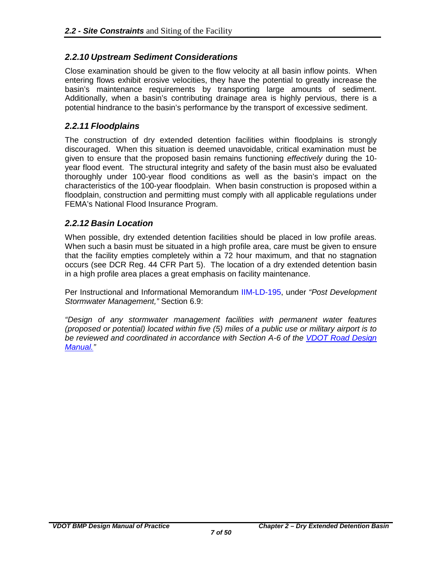#### *2.2.10 Upstream Sediment Considerations*

Close examination should be given to the flow velocity at all basin inflow points. When entering flows exhibit erosive velocities, they have the potential to greatly increase the basin's maintenance requirements by transporting large amounts of sediment. Additionally, when a basin's contributing drainage area is highly pervious, there is a potential hindrance to the basin's performance by the transport of excessive sediment.

#### <span id="page-10-0"></span>*2.2.11 Floodplains*

The construction of dry extended detention facilities within floodplains is strongly discouraged. When this situation is deemed unavoidable, critical examination must be given to ensure that the proposed basin remains functioning *effectively* during the 10 year flood event. The structural integrity and safety of the basin must also be evaluated thoroughly under 100-year flood conditions as well as the basin's impact on the characteristics of the 100-year floodplain. When basin construction is proposed within a floodplain, construction and permitting must comply with all applicable regulations under FEMA's National Flood Insurance Program.

#### <span id="page-10-1"></span>*2.2.12 Basin Location*

When possible, dry extended detention facilities should be placed in low profile areas. When such a basin must be situated in a high profile area, care must be given to ensure that the facility empties completely within a 72 hour maximum, and that no stagnation occurs (see DCR Reg. 44 CFR Part 5). The location of a dry extended detention basin in a high profile area places a great emphasis on facility maintenance.

Per Instructional and Informational Memorandum [IIM-LD-195,](http://www.extranet.vdot.state.va.us/locdes/electronic_pubs/iim/IIM195.pdf) under *"Post Development Stormwater Management,"* Section 6.9:

*"Design of any stormwater management facilities with permanent water features (proposed or potential) located within five (5) miles of a public use or military airport is to be reviewed and coordinated in accordance with Section A-6 of the [VDOT Road Design](http://www.virginiadot.org/business/locdes/rdmanual-index.asp)  [Manual."](http://www.virginiadot.org/business/locdes/rdmanual-index.asp)*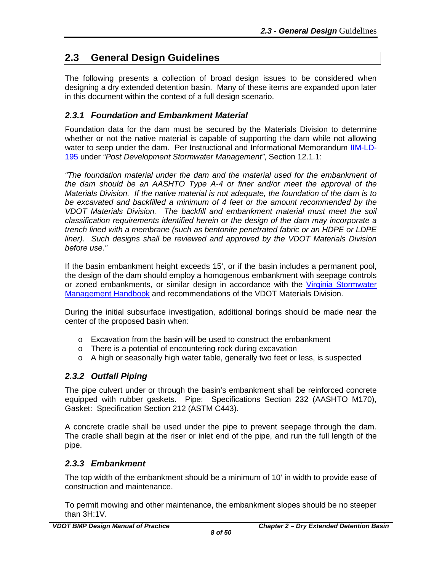## <span id="page-11-0"></span>**2.3 General Design Guidelines**

The following presents a collection of broad design issues to be considered when designing a dry extended detention basin. Many of these items are expanded upon later in this document within the context of a full design scenario.

#### <span id="page-11-1"></span>*2.3.1 Foundation and Embankment Material*

Foundation data for the dam must be secured by the Materials Division to determine whether or not the native material is capable of supporting the dam while not allowing water to seep under the dam. Per Instructional and Informational Memorandum [IIM-LD-](http://www.extranet.vdot.state.va.us/locdes/electronic_pubs/iim/IIM195.pdf)[195](http://www.extranet.vdot.state.va.us/locdes/electronic_pubs/iim/IIM195.pdf) under *"Post Development Stormwater Management"*, Section 12.1.1:

*"The foundation material under the dam and the material used for the embankment of the dam should be an AASHTO Type A-4 or finer and/or meet the approval of the Materials Division. If the native material is not adequate, the foundation of the dam is to be excavated and backfilled a minimum of 4 feet or the amount recommended by the VDOT Materials Division. The backfill and embankment material must meet the soil classification requirements identified herein or the design of the dam may incorporate a trench lined with a membrane (such as bentonite penetrated fabric or an HDPE or LDPE liner). Such designs shall be reviewed and approved by the VDOT Materials Division before use."*

If the basin embankment height exceeds 15', or if the basin includes a permanent pool, the design of the dam should employ a homogenous embankment with seepage controls or zoned embankments, or similar design in accordance with the [Virginia Stormwater](http://www.dcr.virginia.gov/stormwater_management/stormwat.shtml)  [Management](http://www.dcr.virginia.gov/stormwater_management/stormwat.shtml) Handbook and recommendations of the VDOT Materials Division.

During the initial subsurface investigation, additional borings should be made near the center of the proposed basin when:

- o Excavation from the basin will be used to construct the embankment
- o There is a potential of encountering rock during excavation
- o A high or seasonally high water table, generally two feet or less, is suspected

#### <span id="page-11-2"></span>*2.3.2 Outfall Piping*

The pipe culvert under or through the basin's embankment shall be reinforced concrete equipped with rubber gaskets. Pipe: Specifications Section 232 (AASHTO M170), Gasket: Specification Section 212 (ASTM C443).

A concrete cradle shall be used under the pipe to prevent seepage through the dam. The cradle shall begin at the riser or inlet end of the pipe, and run the full length of the pipe.

#### <span id="page-11-3"></span>*2.3.3 Embankment*

The top width of the embankment should be a minimum of 10' in width to provide ease of construction and maintenance.

To permit mowing and other maintenance, the embankment slopes should be no steeper than 3H:1V.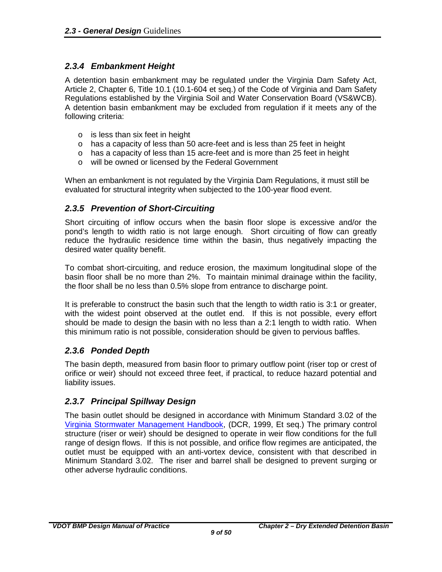### <span id="page-12-0"></span>*2.3.4 Embankment Height*

A detention basin embankment may be regulated under the Virginia Dam Safety Act, Article 2, Chapter 6, Title 10.1 (10.1-604 et seq.) of the Code of Virginia and Dam Safety Regulations established by the Virginia Soil and Water Conservation Board (VS&WCB). A detention basin embankment may be excluded from regulation if it meets any of the following criteria:

- o is less than six feet in height
- o has a capacity of less than 50 acre-feet and is less than 25 feet in height
- $\circ$  has a capacity of less than 15 acre-feet and is more than 25 feet in height
- o will be owned or licensed by the Federal Government

When an embankment is not regulated by the Virginia Dam Regulations, it must still be evaluated for structural integrity when subjected to the 100-year flood event.

### <span id="page-12-1"></span>*2.3.5 Prevention of Short-Circuiting*

Short circuiting of inflow occurs when the basin floor slope is excessive and/or the pond's length to width ratio is not large enough. Short circuiting of flow can greatly reduce the hydraulic residence time within the basin, thus negatively impacting the desired water quality benefit.

To combat short-circuiting, and reduce erosion, the maximum longitudinal slope of the basin floor shall be no more than 2%. To maintain minimal drainage within the facility, the floor shall be no less than 0.5% slope from entrance to discharge point.

It is preferable to construct the basin such that the length to width ratio is 3:1 or greater, with the widest point observed at the outlet end. If this is not possible, every effort should be made to design the basin with no less than a 2:1 length to width ratio. When this minimum ratio is not possible, consideration should be given to pervious baffles.

## <span id="page-12-2"></span>*2.3.6 Ponded Depth*

The basin depth, measured from basin floor to primary outflow point (riser top or crest of orifice or weir) should not exceed three feet, if practical, to reduce hazard potential and liability issues.

## <span id="page-12-3"></span>*2.3.7 Principal Spillway Design*

<span id="page-12-4"></span>The basin outlet should be designed in accordance with Minimum Standard 3.02 of the [Virginia Stormwater Management Handbook,](http://www.dcr.virginia.gov/stormwater_management/stormwat.shtml) (DCR, 1999, Et seq.) The primary control structure (riser or weir) should be designed to operate in weir flow conditions for the full range of design flows. If this is not possible, and orifice flow regimes are anticipated, the outlet must be equipped with an anti-vortex device, consistent with that described in Minimum Standard 3.02. The riser and barrel shall be designed to prevent surging or other adverse hydraulic conditions.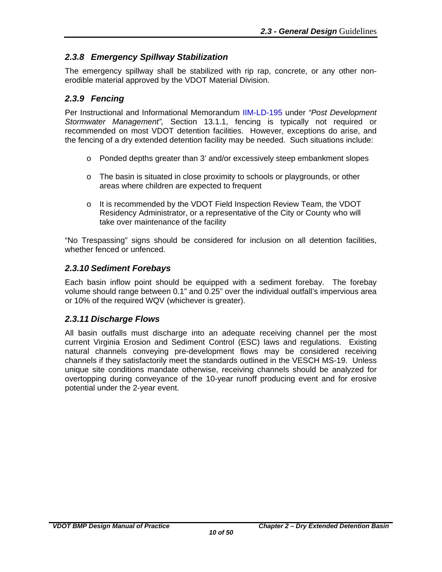## *2.3.8 Emergency Spillway Stabilization*

The emergency spillway shall be stabilized with rip rap, concrete, or any other nonerodible material approved by the VDOT Material Division.

### <span id="page-13-0"></span>*2.3.9 Fencing*

Per Instructional and Informational Memorandum [IIM-LD-195](http://www.extranet.vdot.state.va.us/locdes/electronic_pubs/iim/IIM195.pdf) under *"Post Development Stormwater Management",* Section 13.1.1, fencing is typically not required or recommended on most VDOT detention facilities. However, exceptions do arise, and the fencing of a dry extended detention facility may be needed. Such situations include:

- o Ponded depths greater than 3' and/or excessively steep embankment slopes
- $\circ$  The basin is situated in close proximity to schools or playgrounds, or other areas where children are expected to frequent
- $\circ$  It is recommended by the VDOT Field Inspection Review Team, the VDOT Residency Administrator, or a representative of the City or County who will take over maintenance of the facility

"No Trespassing" signs should be considered for inclusion on all detention facilities, whether fenced or unfenced.

#### <span id="page-13-1"></span>*2.3.10 Sediment Forebays*

Each basin inflow point should be equipped with a sediment forebay. The forebay volume should range between 0.1" and 0.25" over the individual outfall's impervious area or 10% of the required WQV (whichever is greater).

#### <span id="page-13-2"></span>*2.3.11 Discharge Flows*

All basin outfalls must discharge into an adequate receiving channel per the most current Virginia Erosion and Sediment Control (ESC) laws and regulations. Existing natural channels conveying pre-development flows may be considered receiving channels if they satisfactorily meet the standards outlined in the VESCH MS-19. Unless unique site conditions mandate otherwise, receiving channels should be analyzed for overtopping during conveyance of the 10-year runoff producing event and for erosive potential under the 2-year event.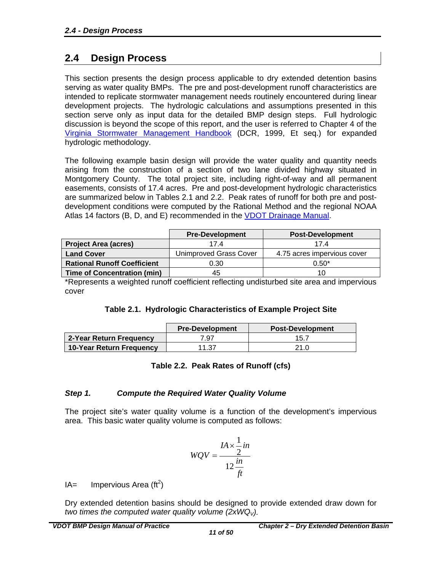## <span id="page-14-0"></span>**2.4 Design Process**

This section presents the design process applicable to dry extended detention basins serving as water quality BMPs. The pre and post-development runoff characteristics are intended to replicate stormwater management needs routinely encountered during linear development projects. The hydrologic calculations and assumptions presented in this section serve only as input data for the detailed BMP design steps. Full hydrologic discussion is beyond the scope of this report, and the user is referred to Chapter 4 of the [Virginia Stormwater Management Handbook](http://www.dcr.virginia.gov/stormwater_management/stormwat.shtml) (DCR, 1999, Et seq.) for expanded hydrologic methodology.

The following example basin design will provide the water quality and quantity needs arising from the construction of a section of two lane divided highway situated in Montgomery County. The total project site, including right-of-way and all permanent easements, consists of 17.4 acres. Pre and post-development hydrologic characteristics are summarized below in Tables 2.1 and 2.2. Peak rates of runoff for both pre and postdevelopment conditions were computed by the Rational Method and the regional NOAA Atlas 14 factors (B, D, and E) recommended in the VDOT Drainage Manual.

|                                    | <b>Pre-Development</b> | <b>Post-Development</b>     |  |  |
|------------------------------------|------------------------|-----------------------------|--|--|
| <b>Project Area (acres)</b>        | 17.4                   | 174                         |  |  |
| <b>Land Cover</b>                  | Unimproved Grass Cover | 4.75 acres impervious cover |  |  |
| <b>Rational Runoff Coefficient</b> | 0.30                   | $0.50*$                     |  |  |
| <b>Time of Concentration (min)</b> | 45                     | 10                          |  |  |

\*Represents a weighted runoff coefficient reflecting undisturbed site area and impervious cover

|  | Table 2.1. Hydrologic Characteristics of Example Project Site |  |
|--|---------------------------------------------------------------|--|
|  |                                                               |  |

<span id="page-14-3"></span><span id="page-14-2"></span>

|                          | <b>Pre-Development</b> | <b>Post-Development</b> |
|--------------------------|------------------------|-------------------------|
| 2-Year Return Frequency  | 7.97                   | 15.7                    |
| 10-Year Return Frequency | 11.37                  | 21.0                    |

#### **Table 2.2. Peak Rates of Runoff (cfs)**

#### <span id="page-14-1"></span>*Step 1. Compute the Required Water Quality Volume*

The project site's water quality volume is a function of the development's impervious area. This basic water quality volume is computed as follows:

$$
WQV = \frac{IA \times \frac{1}{2}in}{12 \frac{in}{ft}}
$$

 $IA =$  Impervious Area (ft<sup>2</sup>)

Dry extended detention basins should be designed to provide extended draw down for *two times the computed water quality volume (* $2xWQ<sub>V</sub>$ *).*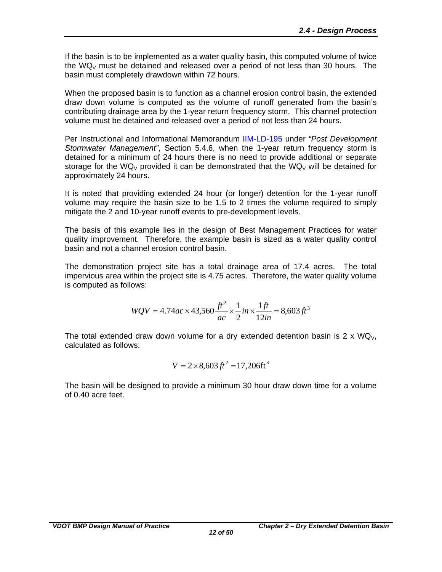If the basin is to be implemented as a water quality basin, this computed volume of twice the WQ<sub>V</sub> must be detained and released over a period of not less than 30 hours. The basin must completely drawdown within 72 hours.

When the proposed basin is to function as a channel erosion control basin, the extended draw down volume is computed as the volume of runoff generated from the basin's contributing drainage area by the 1-year return frequency storm. This channel protection volume must be detained and released over a period of not less than 24 hours.

Per Instructional and Informational Memorandum [IIM-LD-195](http://www.extranet.vdot.state.va.us/locdes/electronic_pubs/iim/IIM195.pdf) under *"Post Development Stormwater Management"*, Section 5.4.6, when the 1-year return frequency storm is detained for a minimum of 24 hours there is no need to provide additional or separate storage for the WQ<sub>V</sub> provided it can be demonstrated that the WQ<sub>V</sub> will be detained for approximately 24 hours.

It is noted that providing extended 24 hour (or longer) detention for the 1-year runoff volume may require the basin size to be 1.5 to 2 times the volume required to simply mitigate the 2 and 10-year runoff events to pre-development levels.

The basis of this example lies in the design of Best Management Practices for water quality improvement. Therefore, the example basin is sized as a water quality control basin and not a channel erosion control basin.

The demonstration project site has a total drainage area of 17.4 acres. The total impervious area within the project site is 4.75 acres. Therefore, the water quality volume is computed as follows:

$$
WQV = 4.74ac \times 43,560 \frac{ft^2}{ac} \times \frac{1}{2} in \times \frac{1ft}{12in} = 8,603 ft^3
$$

The total extended draw down volume for a dry extended detention basin is 2 x  $WQ_V$ , calculated as follows:

$$
V = 2 \times 8,603 \, \text{ft}^2 = 17,206 \, \text{ft}^3
$$

The basin will be designed to provide a minimum 30 hour draw down time for a volume of 0.40 acre feet.

*12 of 50*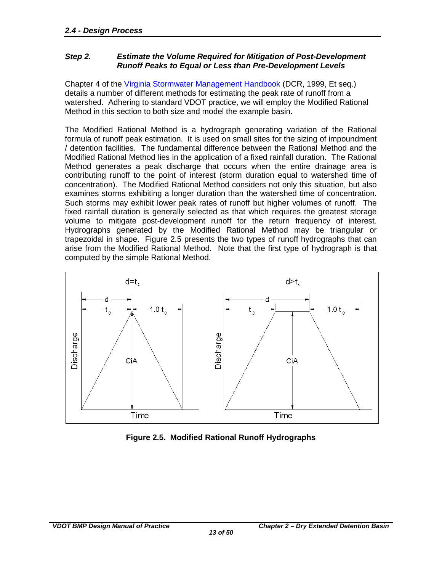#### <span id="page-16-0"></span>*Step 2. Estimate the Volume Required for Mitigation of Post-Development Runoff Peaks to Equal or Less than Pre-Development Levels*

Chapter 4 of the [Virginia Stormwater Management Handbook](http://www.dcr.virginia.gov/stormwater_management/stormwat.shtml) (DCR, 1999, Et seq.) details a number of different methods for estimating the peak rate of runoff from a watershed. Adhering to standard VDOT practice, we will employ the Modified Rational Method in this section to both size and model the example basin.

The Modified Rational Method is a hydrograph generating variation of the Rational formula of runoff peak estimation. It is used on small sites for the sizing of impoundment / detention facilities. The fundamental difference between the Rational Method and the Modified Rational Method lies in the application of a fixed rainfall duration. The Rational Method generates a peak discharge that occurs when the entire drainage area is contributing runoff to the point of interest (storm duration equal to watershed time of concentration). The Modified Rational Method considers not only this situation, but also examines storms exhibiting a longer duration than the watershed time of concentration. Such storms may exhibit lower peak rates of runoff but higher volumes of runoff. The fixed rainfall duration is generally selected as that which requires the greatest storage volume to mitigate post-development runoff for the return frequency of interest. Hydrographs generated by the Modified Rational Method may be triangular or trapezoidal in shape. Figure 2.5 presents the two types of runoff hydrographs that can arise from the Modified Rational Method. Note that the first type of hydrograph is that computed by the simple Rational Method.



<span id="page-16-1"></span>**Figure 2.5. Modified Rational Runoff Hydrographs**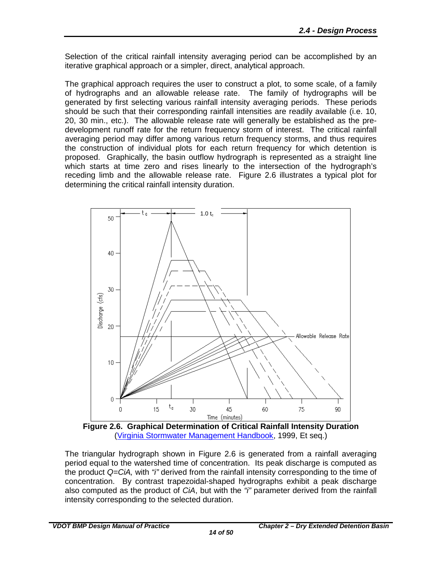Selection of the critical rainfall intensity averaging period can be accomplished by an iterative graphical approach or a simpler, direct, analytical approach.

The graphical approach requires the user to construct a plot, to some scale, of a family of hydrographs and an allowable release rate. The family of hydrographs will be generated by first selecting various rainfall intensity averaging periods. These periods should be such that their corresponding rainfall intensities are readily available (i.e. 10, 20, 30 min., etc.). The allowable release rate will generally be established as the predevelopment runoff rate for the return frequency storm of interest. The critical rainfall averaging period may differ among various return frequency storms, and thus requires the construction of individual plots for each return frequency for which detention is proposed. Graphically, the basin outflow hydrograph is represented as a straight line which starts at time zero and rises linearly to the intersection of the hydrograph's receding limb and the allowable release rate. Figure 2.6 illustrates a typical plot for determining the critical rainfall intensity duration.



<span id="page-17-0"></span>**Figure 2.6. Graphical Determination of Critical Rainfall Intensity Duration** (Virginia [Stormwater Management Handbook,](http://www.dcr.virginia.gov/stormwater_management/stormwat.shtml) 1999, Et seq.)

The triangular hydrograph shown in Figure 2.6 is generated from a rainfall averaging period equal to the watershed time of concentration. Its peak discharge is computed as the product *Q=CiA,* with *"i"* derived from the rainfall intensity corresponding to the time of concentration. By contrast trapezoidal-shaped hydrographs exhibit a peak discharge also computed as the product of *CiA*, but with the *"i"* parameter derived from the rainfall intensity corresponding to the selected duration.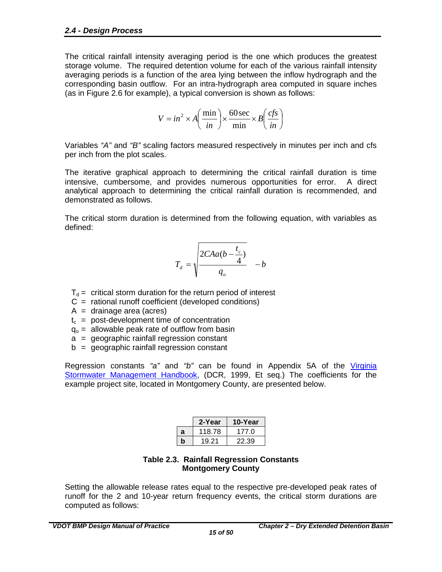The critical rainfall intensity averaging period is the one which produces the greatest storage volume. The required detention volume for each of the various rainfall intensity averaging periods is a function of the area lying between the inflow hydrograph and the corresponding basin outflow. For an intra-hydrograph area computed in square inches (as in Figure 2.6 for example), a typical conversion is shown as follows:

$$
V = in^2 \times A \left(\frac{\text{min}}{in}\right) \times \frac{60 \text{ sec}}{\text{min}} \times B \left(\frac{cfs}{in}\right)
$$

Variables *"A"* and *"B"* scaling factors measured respectively in minutes per inch and cfs per inch from the plot scales.

The iterative graphical approach to determining the critical rainfall duration is time intensive, cumbersome, and provides numerous opportunities for error. A direct analytical approach to determining the critical rainfall duration is recommended, and demonstrated as follows.

The critical storm duration is determined from the following equation, with variables as defined:

$$
T_d = \sqrt{\frac{2C A a (b - \frac{t_c}{4})}{q_o}} - b
$$

- $T_d$  = critical storm duration for the return period of interest
- $C =$  rational runoff coefficient (developed conditions)
- $A = \text{drainage area (acres)}$
- $t_c$  = post-development time of concentration
- $q_0$  = allowable peak rate of outflow from basin
- a = geographic rainfall regression constant
- $b =$  geographic rainfall regression constant

Regression constants *"a"* and *"b"* can be found in Appendix 5A of the [Virginia](http://www.dcr.virginia.gov/stormwater_management/stormwat.shtml)  [Stormwater Management Handbook,](http://www.dcr.virginia.gov/stormwater_management/stormwat.shtml) (DCR, 1999, Et seq.) The coefficients for the example project site, located in Montgomery County, are presented below.

|   | 2-Year | 10-Year |
|---|--------|---------|
| a | 118.78 | 177.0   |
| b | 19.21  | 22.39   |

#### **Table 2.3. Rainfall Regression Constants Montgomery County**

<span id="page-18-0"></span>Setting the allowable release rates equal to the respective pre-developed peak rates of runoff for the 2 and 10-year return frequency events, the critical storm durations are computed as follows: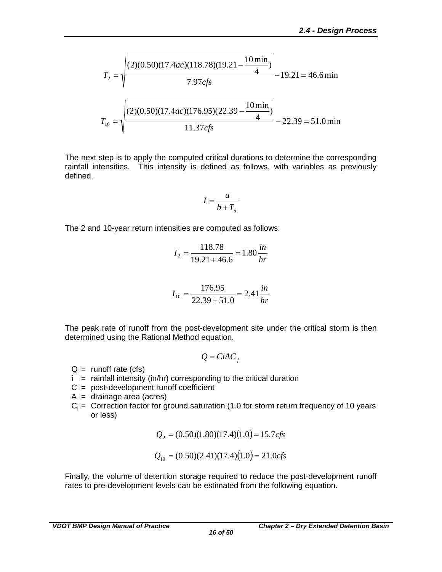$$
T_2 = \sqrt{\frac{(2)(0.50)(17.4ac)(118.78)(19.21 - \frac{10 \text{ min}}{4})}{7.97cf s}} - 19.21 = 46.6 \text{ min}
$$

$$
T_{10} = \sqrt{\frac{(2)(0.50)(17.4ac)(176.95)(22.39 - \frac{10 \text{ min}}{4})}{11.37cf s}} - 22.39 = 51.0 \text{ min}
$$

The next step is to apply the computed critical durations to determine the corresponding rainfall intensities. This intensity is defined as follows, with variables as previously defined.

$$
I = \frac{a}{b + T_d}
$$

The 2 and 10-year return intensities are computed as follows:

$$
I_2 = \frac{118.78}{19.21 + 46.6} = 1.80 \frac{in}{hr}
$$

$$
I_{10} = \frac{176.95}{22.39 + 51.0} = 2.41 \frac{in}{hr}
$$

The peak rate of runoff from the post-development site under the critical storm is then determined using the Rational Method equation.

$$
Q = \mathbf{C}iAC_f
$$

- $Q =$  runoff rate (cfs)
- $i =$  rainfall intensity (in/hr) corresponding to the critical duration
- $C = post-development runoff coefficient$
- $A = \text{drainage area (acres)}$
- $C_f$  = Correction factor for ground saturation (1.0 for storm return frequency of 10 years or less)

$$
Q_2 = (0.50)(1.80)(17.4)(1.0) = 15.7cfs
$$

$$
Q_{10} = (0.50)(2.41)(17.4)(1.0) = 21.0cfs
$$

Finally, the volume of detention storage required to reduce the post-development runoff rates to pre-development levels can be estimated from the following equation.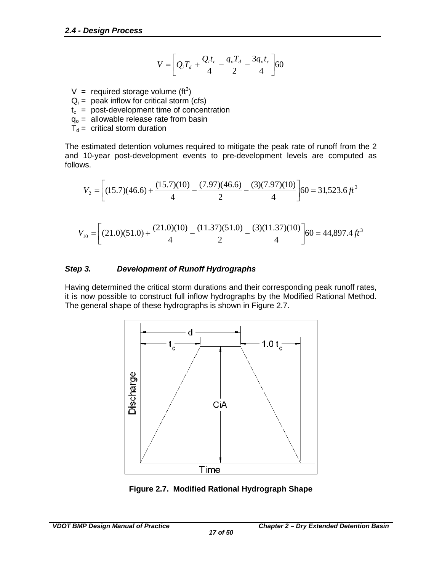$$
V = \left[Q_i T_d + \frac{Q_i t_c}{4} - \frac{q_o T_d}{2} - \frac{3q_o t_c}{4}\right] 60
$$

- V = required storage volume (ft<sup>3</sup>)
- $Q_i$  = peak inflow for critical storm (cfs)
- $t_c$  = post-development time of concentration
- $q_0$  = allowable release rate from basin
- $T_d$  = critical storm duration

The estimated detention volumes required to mitigate the peak rate of runoff from the 2 and 10-year post-development events to pre-development levels are computed as follows.

$$
V_2 = \left[ (15.7)(46.6) + \frac{(15.7)(10)}{4} - \frac{(7.97)(46.6)}{2} - \frac{(3)(7.97)(10)}{4} \right] 60 = 31,523.6 \, \text{ft}^3
$$

$$
V_{10} = \left[ (21.0)(51.0) + \frac{(21.0)(10)}{4} - \frac{(11.37)(51.0)}{2} - \frac{(3)(11.37)(10)}{4} \right] 60 = 44,897.4 \, \text{ft}^3
$$

#### <span id="page-20-0"></span>*Step 3. Development of Runoff Hydrographs*

Having determined the critical storm durations and their corresponding peak runoff rates, it is now possible to construct full inflow hydrographs by the Modified Rational Method. The general shape of these hydrographs is shown in Figure 2.7.



<span id="page-20-1"></span>**Figure 2.7. Modified Rational Hydrograph Shape**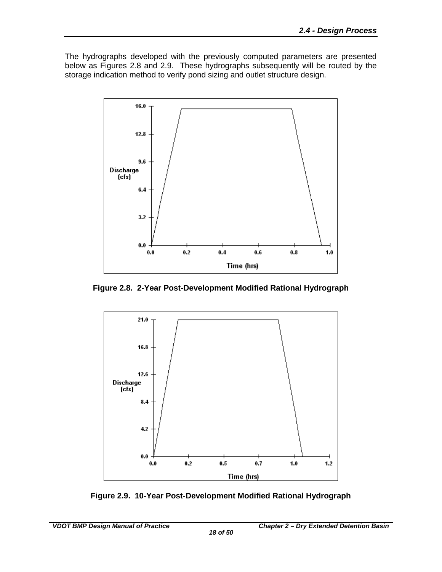The hydrographs developed with the previously computed parameters are presented below as Figures 2.8 and 2.9. These hydrographs subsequently will be routed by the storage indication method to verify pond sizing and outlet structure design.



<span id="page-21-0"></span>**Figure 2.8. 2-Year Post-Development Modified Rational Hydrograph**



<span id="page-21-1"></span>**Figure 2.9. 10-Year Post-Development Modified Rational Hydrograph**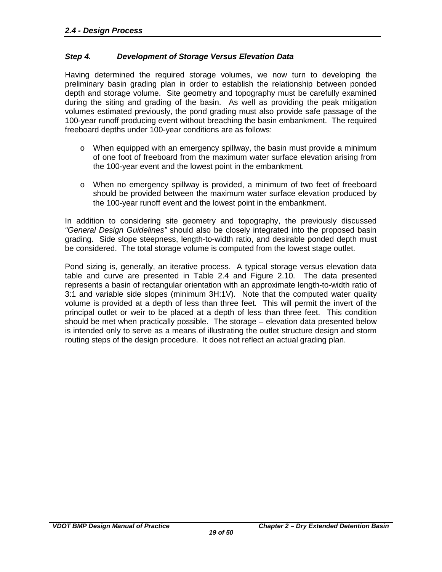#### <span id="page-22-0"></span>*Step 4. Development of Storage Versus Elevation Data*

Having determined the required storage volumes, we now turn to developing the preliminary basin grading plan in order to establish the relationship between ponded depth and storage volume. Site geometry and topography must be carefully examined during the siting and grading of the basin. As well as providing the peak mitigation volumes estimated previously, the pond grading must also provide safe passage of the 100-year runoff producing event without breaching the basin embankment. The required freeboard depths under 100-year conditions are as follows:

- $\circ$  When equipped with an emergency spillway, the basin must provide a minimum of one foot of freeboard from the maximum water surface elevation arising from the 100-year event and the lowest point in the embankment.
- o When no emergency spillway is provided, a minimum of two feet of freeboard should be provided between the maximum water surface elevation produced by the 100-year runoff event and the lowest point in the embankment.

In addition to considering site geometry and topography, the previously discussed *"General Design Guidelines"* should also be closely integrated into the proposed basin grading. Side slope steepness, length-to-width ratio, and desirable ponded depth must be considered. The total storage volume is computed from the lowest stage outlet.

Pond sizing is, generally, an iterative process. A typical storage versus elevation data table and curve are presented in Table 2.4 and Figure 2.10. The data presented represents a basin of rectangular orientation with an approximate length-to-width ratio of 3:1 and variable side slopes (minimum 3H:1V). Note that the computed water quality volume is provided at a depth of less than three feet. This will permit the invert of the principal outlet or weir to be placed at a depth of less than three feet. This condition should be met when practically possible. The storage – elevation data presented below is intended only to serve as a means of illustrating the outlet structure design and storm routing steps of the design procedure. It does not reflect an actual grading plan.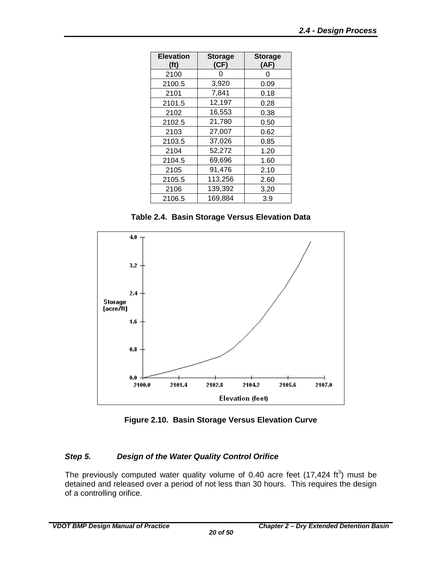| <b>Elevation</b><br>(f <sup>t</sup> ) | <b>Storage</b><br>(CF) | <b>Storage</b><br>(AF) |
|---------------------------------------|------------------------|------------------------|
| 2100                                  | 0                      | O                      |
| 2100.5                                | 3,920                  | 0.09                   |
| 2101                                  | 7,841                  | 0.18                   |
| 2101.5                                | 12,197                 | 0.28                   |
| 2102                                  | 16,553                 | 0.38                   |
| 2102.5                                | 21,780                 | 0.50                   |
| 2103                                  | 27,007                 | 0.62                   |
| 2103.5                                | 37,026                 | 0.85                   |
| 2104                                  | 52,272                 | 1.20                   |
| 2104.5                                | 69,696                 | 1.60                   |
| 2105                                  | 91,476                 | 2.10                   |
| 2105.5                                | 113,256                | 2.60                   |
| 2106                                  | 139,392                | 3.20                   |
| 2106.5                                | 169,884                | 3.9                    |

**Table 2.4. Basin Storage Versus Elevation Data**

<span id="page-23-1"></span>

**Figure 2.10. Basin Storage Versus Elevation Curve**

#### <span id="page-23-2"></span><span id="page-23-0"></span>*Step 5. Design of the Water Quality Control Orifice*

The previously computed water quality volume of 0.40 acre feet  $(17,424 \text{ ft}^3)$  must be detained and released over a period of not less than 30 hours. This requires the design of a controlling orifice.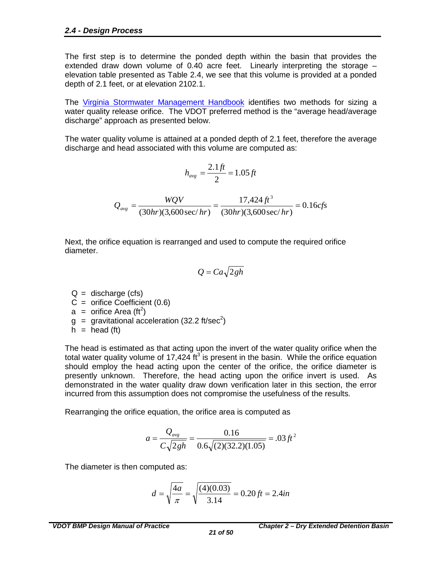The first step is to determine the ponded depth within the basin that provides the extended draw down volume of 0.40 acre feet. Linearly interpreting the storage – elevation table presented as Table 2.4, we see that this volume is provided at a ponded depth of 2.1 feet, or at elevation 2102.1.

The [Virginia Stormwater Management Handbook](http://www.dcr.virginia.gov/stormwater_management/stormwat.shtml) identifies two methods for sizing a water quality release orifice. The VDOT preferred method is the "average head/average discharge" approach as presented below.

The water quality volume is attained at a ponded depth of 2.1 feet, therefore the average discharge and head associated with this volume are computed as:

$$
h_{avg} = \frac{2.1 \, ft}{2} = 1.05 \, ft
$$

 $\frac{17,424\,ft^3}{hr}(3,600\,\text{sec}/hr) = 0.16cfs$  $Q_{avg} = \frac{WQV}{(30hr)(3,600\sec/hr)} = \frac{17,424 ft^3}{(30hr)(3,600\sec/hr)} = 0.16$ 17,424  $(30 hr)(3,600 sec/hr)$ 3  $=\frac{WQV}{(2.81 \times 10^{-3} \text{ s})^2} = \frac{11,727Jl}{(2.81 \times 10^{-3} \text{ s})^2} =$ 

Next, the orifice equation is rearranged and used to compute the required orifice diameter.

$$
Q = Ca\sqrt{2gh}
$$

 $Q =$  discharge (cfs)

- $C =$  orifice Coefficient (0.6)
- $a =$  orifice Area (ft<sup>2</sup>)
- $g =$  gravitational acceleration (32.2 ft/sec<sup>2</sup>)
- $h =$  head (ft)

The head is estimated as that acting upon the invert of the water quality orifice when the total water quality volume of 17,424  $\text{ft}^3$  is present in the basin. While the orifice equation should employ the head acting upon the center of the orifice, the orifice diameter is presently unknown. Therefore, the head acting upon the orifice invert is used. As demonstrated in the water quality draw down verification later in this section, the error incurred from this assumption does not compromise the usefulness of the results.

Rearranging the orifice equation, the orifice area is computed as

$$
a = \frac{Q_{\text{avg}}}{C\sqrt{2gh}} = \frac{0.16}{0.6\sqrt{(2)(32.2)(1.05)}} = .03 ft^2
$$

The diameter is then computed as:

$$
d = \sqrt{\frac{4a}{\pi}} = \sqrt{\frac{(4)(0.03)}{3.14}} = 0.20 \, \text{ft} = 2.4 \, \text{in}
$$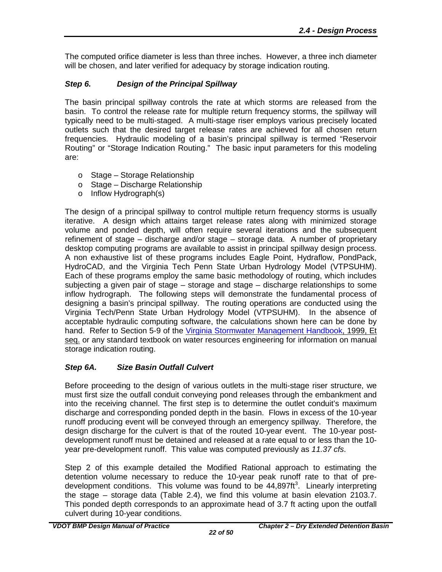The computed orifice diameter is less than three inches. However, a three inch diameter will be chosen, and later verified for adequacy by storage indication routing.

## <span id="page-25-0"></span>*Step 6. Design of the Principal Spillway*

The basin principal spillway controls the rate at which storms are released from the basin. To control the release rate for multiple return frequency storms, the spillway will typically need to be multi-staged. A multi-stage riser employs various precisely located outlets such that the desired target release rates are achieved for all chosen return frequencies. Hydraulic modeling of a basin's principal spillway is termed "Reservoir Routing" or "Storage Indication Routing." The basic input parameters for this modeling are:

- o Stage Storage Relationship
- o Stage Discharge Relationship
- o Inflow Hydrograph(s)

The design of a principal spillway to control multiple return frequency storms is usually iterative. A design which attains target release rates along with minimized storage volume and ponded depth, will often require several iterations and the subsequent refinement of stage – discharge and/or stage – storage data. A number of proprietary desktop computing programs are available to assist in principal spillway design process. A non exhaustive list of these programs includes Eagle Point, Hydraflow, PondPack, HydroCAD, and the Virginia Tech Penn State Urban Hydrology Model (VTPSUHM). Each of these programs employ the same basic methodology of routing, which includes subjecting a given pair of stage – storage and stage – discharge relationships to some inflow hydrograph. The following steps will demonstrate the fundamental process of designing a basin's principal spillway. The routing operations are conducted using the Virginia Tech/Penn State Urban Hydrology Model (VTPSUHM). In the absence of acceptable hydraulic computing software, the calculations shown here can be done by hand. Refer to Section 5-9 of the [Virginia Stormwater Management Handbook,](http://www.dcr.virginia.gov/stormwater_management/stormwat.shtml) 1999, Et seq. or any standard textbook on water resources engineering for information on manual storage indication routing.

#### <span id="page-25-1"></span>*Step 6A. Size Basin Outfall Culvert*

Before proceeding to the design of various outlets in the multi-stage riser structure, we must first size the outfall conduit conveying pond releases through the embankment and into the receiving channel. The first step is to determine the outlet conduit's maximum discharge and corresponding ponded depth in the basin. Flows in excess of the 10-year runoff producing event will be conveyed through an emergency spillway. Therefore, the design discharge for the culvert is that of the routed 10-year event. The 10-year postdevelopment runoff must be detained and released at a rate equal to or less than the 10 year pre-development runoff. This value was computed previously as *11.37 cfs*.

Step 2 of this example detailed the Modified Rational approach to estimating the detention volume necessary to reduce the 10-year peak runoff rate to that of predevelopment conditions. This volume was found to be  $44,897ft<sup>3</sup>$ . Linearly interpreting the stage – storage data (Table 2.4), we find this volume at basin elevation 2103.7. This ponded depth corresponds to an approximate head of 3.7 ft acting upon the outfall culvert during 10-year conditions.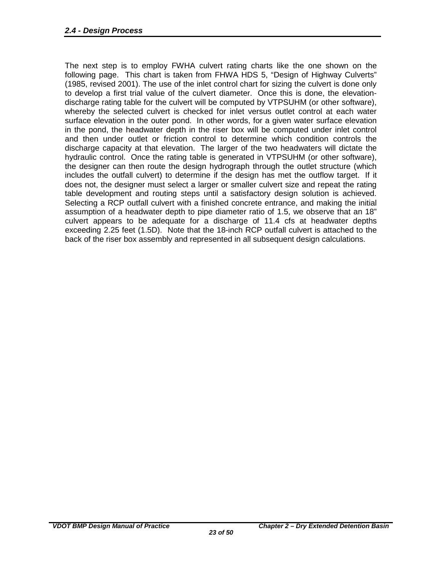The next step is to employ FWHA culvert rating charts like the one shown on the following page. This chart is taken from FHWA HDS 5, "Design of Highway Culverts" (1985, revised 2001). The use of the inlet control chart for sizing the culvert is done only to develop a first trial value of the culvert diameter. Once this is done, the elevationdischarge rating table for the culvert will be computed by VTPSUHM (or other software), whereby the selected culvert is checked for inlet versus outlet control at each water surface elevation in the outer pond. In other words, for a given water surface elevation in the pond, the headwater depth in the riser box will be computed under inlet control and then under outlet or friction control to determine which condition controls the discharge capacity at that elevation. The larger of the two headwaters will dictate the hydraulic control. Once the rating table is generated in VTPSUHM (or other software), the designer can then route the design hydrograph through the outlet structure (which includes the outfall culvert) to determine if the design has met the outflow target. If it does not, the designer must select a larger or smaller culvert size and repeat the rating table development and routing steps until a satisfactory design solution is achieved. Selecting a RCP outfall culvert with a finished concrete entrance, and making the initial assumption of a headwater depth to pipe diameter ratio of 1.5, we observe that an 18" culvert appears to be adequate for a discharge of 11.4 cfs at headwater depths exceeding 2.25 feet (1.5D). Note that the 18-inch RCP outfall culvert is attached to the back of the riser box assembly and represented in all subsequent design calculations.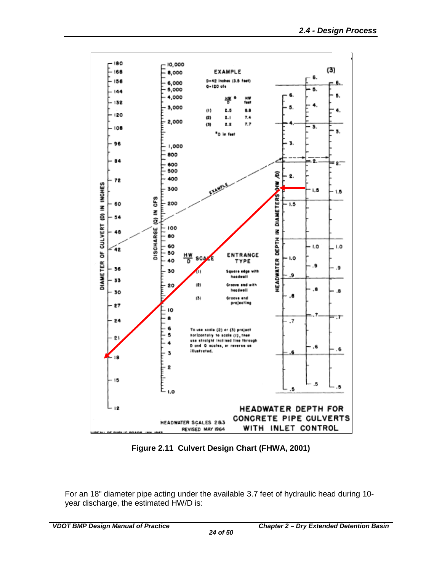

**Figure 2.11 Culvert Design Chart (FHWA, 2001)**

<span id="page-27-0"></span>For an 18" diameter pipe acting under the available 3.7 feet of hydraulic head during 10 year discharge, the estimated HW/D is: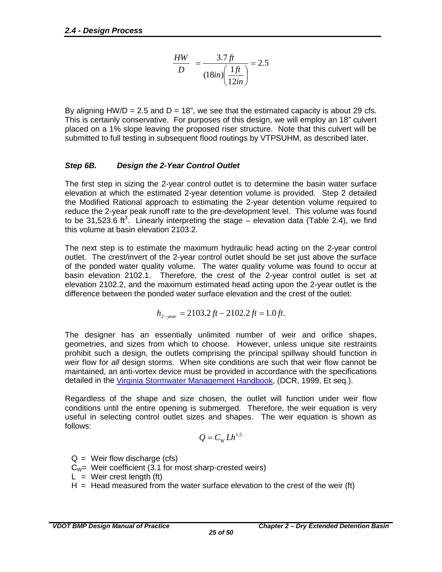$$
\frac{HW}{D} = \frac{3.7 \, ft}{(18in) \left(\frac{1 \, ft}{12in}\right)} = 2.5
$$

By aligning  $HW/D = 2.5$  and  $D = 18$ ", we see that the estimated capacity is about 29 cfs. This is certainly conservative. For purposes of this design, we will employ an 18" culvert placed on a 1% slope leaving the proposed riser structure. Note that this culvert will be submitted to full testing in subsequent flood routings by VTPSUHM, as described later.

#### <span id="page-28-0"></span>*Step 6B. Design the 2-Year Control Outlet*

The first step in sizing the 2-year control outlet is to determine the basin water surface elevation at which the estimated 2-year detention volume is provided. Step 2 detailed the Modified Rational approach to estimating the 2-year detention volume required to reduce the 2-year peak runoff rate to the pre-development level. This volume was found to be 31,523.6 ft<sup>3</sup>. Linearly interpreting the stage – elevation data (Table 2.4), we find this volume at basin elevation 2103.2.

The next step is to estimate the maximum hydraulic head acting on the 2-year control outlet. The crest/invert of the 2-year control outlet should be set just above the surface of the ponded water quality volume. The water quality volume was found to occur at basin elevation 2102.1. Therefore, the crest of the 2-year control outlet is set at elevation 2102.2, and the maximum estimated head acting upon the 2-year outlet is the difference between the ponded water surface elevation and the crest of the outlet:

$$
h_{2-year} = 2103.2ft - 2102.2ft = 1.0ft.
$$

The designer has an essentially unlimited number of weir and orifice shapes, geometries, and sizes from which to choose. However, unless unique site restraints prohibit such a design, the outlets comprising the principal spillway should function in weir flow for *all* design storms. When site conditions are such that weir flow cannot be maintained, an anti-vortex device must be provided in accordance with the specifications detailed in the [Virginia Stormwater Management Handbook,](http://www.dcr.virginia.gov/stormwater_management/stormwat.shtml) (DCR, 1999, Et seq.).

Regardless of the shape and size chosen, the outlet will function under weir flow conditions until the entire opening is submerged. Therefore, the weir equation is very useful in selecting control outlet sizes and shapes. The weir equation is shown as follows:

$$
Q=C_w L h^{1.5}
$$

 $Q =$  Weir flow discharge (cfs)

- $C_W$ = Weir coefficient (3.1 for most sharp-crested weirs)
- $L =$  Weir crest length (ft)
- $H =$  Head measured from the water surface elevation to the crest of the weir (ft)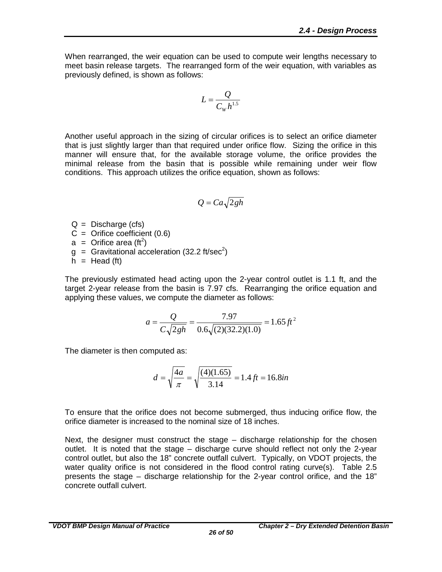When rearranged, the weir equation can be used to compute weir lengths necessary to meet basin release targets. The rearranged form of the weir equation, with variables as previously defined, is shown as follows:

$$
L = \frac{Q}{C_w h^{1.5}}
$$

Another useful approach in the sizing of circular orifices is to select an orifice diameter that is just slightly larger than that required under orifice flow. Sizing the orifice in this manner will ensure that, for the available storage volume, the orifice provides the minimal release from the basin that is possible while remaining under weir flow conditions. This approach utilizes the orifice equation, shown as follows:

$$
Q = Ca\sqrt{2gh}
$$

 $Q =$  Discharge (cfs)

- $C =$  Orifice coefficient  $(0.6)$
- $a =$  Orifice area (ft<sup>2</sup>)
- $g =$  Gravitational acceleration (32.2 ft/sec<sup>2</sup>)
- $h =$  Head (ft)

The previously estimated head acting upon the 2-year control outlet is 1.1 ft, and the target 2-year release from the basin is 7.97 cfs. Rearranging the orifice equation and applying these values, we compute the diameter as follows:

$$
a = \frac{Q}{C\sqrt{2gh}} = \frac{7.97}{0.6\sqrt{(2)(32.2)(1.0)}} = 1.65 \, \text{ft}^2
$$

The diameter is then computed as:

$$
d = \sqrt{\frac{4a}{\pi}} = \sqrt{\frac{(4)(1.65)}{3.14}} = 1.4 \text{ ft} = 16.8 \text{in}
$$

To ensure that the orifice does not become submerged, thus inducing orifice flow, the orifice diameter is increased to the nominal size of 18 inches.

Next, the designer must construct the stage – discharge relationship for the chosen outlet. It is noted that the stage – discharge curve should reflect not only the 2-year control outlet, but also the 18" concrete outfall culvert. Typically, on VDOT projects, the water quality orifice is not considered in the flood control rating curve(s). Table 2.5 presents the stage – discharge relationship for the 2-year control orifice, and the 18" concrete outfall culvert.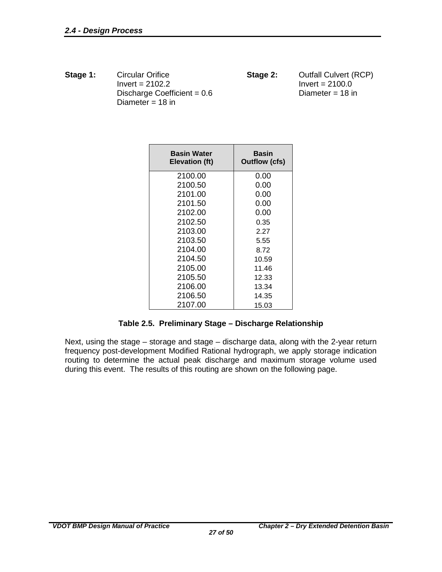**Stage 1:** Circular Orifice **Stage 2:** Outfall Culvert (RCP)<br>Invert = 2102.2 **Stage 2:** Invert = 2100.0  $Invert = 2100.0$ <br>Diameter = 18 in Discharge Coefficient =  $0.6$ Diameter  $= 18$  in

| <b>Basin Water</b><br>Elevation (ft) | <b>Basin</b><br>Outflow (cfs) |
|--------------------------------------|-------------------------------|
| 2100.00                              | 0.00                          |
| 2100.50                              | 0.00                          |
| 2101.00                              | 0.00                          |
| 2101.50                              | 0.00                          |
| 2102.00                              | 0.00                          |
| 2102.50                              | 0.35                          |
| 2103.00                              | 2.27                          |
| 2103.50                              | 5.55                          |
| 2104.00                              | 8.72                          |
| 2104.50                              | 10.59                         |
| 2105.00                              | 11.46                         |
| 2105.50                              | 12.33                         |
| 2106.00                              | 13.34                         |
| 2106.50                              | 14.35                         |
| 2107.00                              | 15.03                         |

#### **Table 2.5. Preliminary Stage – Discharge Relationship**

<span id="page-30-0"></span>Next, using the stage – storage and stage – discharge data, along with the 2-year return frequency post-development Modified Rational hydrograph, we apply storage indication routing to determine the actual peak discharge and maximum storage volume used during this event. The results of this routing are shown on the following page.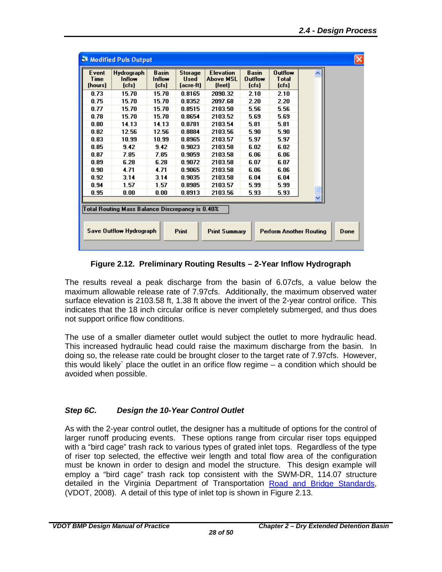| Event<br>Time<br>(hours)                                                                                                                                            | Hydrograph<br>Inflow<br>$[{\rm cfs}]$ | <b>Basin</b><br>Inflow<br>$[{\rm cfs}]$ | <b>Storage</b><br><b>Used</b><br>(acre-ft) | <b>Elevation</b><br><b>Above MSL</b><br>[feet] | <b>Basin</b><br><b>Outflow</b><br>$[{\rm cfs}]$ | <b>Outflow</b><br><b>T</b> otal<br>$[{\rm cfs}]$ |  |  |
|---------------------------------------------------------------------------------------------------------------------------------------------------------------------|---------------------------------------|-----------------------------------------|--------------------------------------------|------------------------------------------------|-------------------------------------------------|--------------------------------------------------|--|--|
| 0.73                                                                                                                                                                | 15.70                                 | 15.70                                   | 0.8165                                     | 2090.32                                        | 2.10                                            | 2.10                                             |  |  |
| 0.75                                                                                                                                                                | 15.70                                 | 15.70                                   | 0.8352                                     | 2097.68                                        | 2.20                                            | 2.20                                             |  |  |
| 0.77                                                                                                                                                                | 15.70                                 | 15.70                                   | 0.8515                                     | 2103.50                                        | 5.56                                            | 5.56                                             |  |  |
| 0.78                                                                                                                                                                | 15.70                                 | 15.70                                   | 0.8654                                     | 2103.52                                        | 5.69                                            | 5.69                                             |  |  |
| 0.80                                                                                                                                                                | 14.13                                 | 14.13                                   | 0.8781                                     | 2103.54                                        | 5.81                                            | 5.81                                             |  |  |
| 0.82                                                                                                                                                                | 12.56                                 | 12.56                                   | 0.8884                                     | 2103.56                                        | 5.90                                            | 5.90                                             |  |  |
| 0.83                                                                                                                                                                | 10.99                                 | 10.99                                   | 0.8965                                     | 2103.57                                        | 5.97                                            | 5.97                                             |  |  |
| 0.85                                                                                                                                                                | 9.42                                  | 9.42                                    | 0.9023                                     | 2103.58                                        | 6.02                                            | 6.02                                             |  |  |
| 0.87                                                                                                                                                                | 7.85                                  | 7.85                                    | 0.9059                                     | 2103.58                                        | 6.06                                            | 6.06                                             |  |  |
| 0.89                                                                                                                                                                | 6.28                                  | 6.28                                    | 0.9072                                     | 2103.58                                        | 6.07                                            | 6.07                                             |  |  |
| 0.90                                                                                                                                                                | 4.71                                  | 4.71                                    | 0.9065                                     | 2103.58                                        | 6.06                                            | 6.06                                             |  |  |
| 0.92                                                                                                                                                                | 3.14                                  | 3.14                                    | 0.9035                                     | 2103.58                                        | 6.04                                            | 6.04                                             |  |  |
| 0.94                                                                                                                                                                | 1.57                                  | 1.57                                    | 0.8985                                     | 2103.57                                        | 5.99                                            | 5.99                                             |  |  |
| 0.95                                                                                                                                                                | 0.00                                  | 0.00                                    | 0.8913                                     | 2103.56                                        | 5.93                                            | 5.93                                             |  |  |
| Total Routing Mass Balance Discrepancy is 0.40%<br><b>Save Outflow Hydrograph</b><br><b>Print</b><br><b>Print Summary</b><br><b>Perform Another Routing</b><br>Done |                                       |                                         |                                            |                                                |                                                 |                                                  |  |  |

**Figure 2.12. Preliminary Routing Results – 2-Year Inflow Hydrograph**

<span id="page-31-1"></span>The results reveal a peak discharge from the basin of 6.07cfs, a value below the maximum allowable release rate of 7.97cfs. Additionally, the maximum observed water surface elevation is 2103.58 ft, 1.38 ft above the invert of the 2-year control orifice. This indicates that the 18 inch circular orifice is never completely submerged, and thus does not support orifice flow conditions.

The use of a smaller diameter outlet would subject the outlet to more hydraulic head. This increased hydraulic head could raise the maximum discharge from the basin. In doing so, the release rate could be brought closer to the target rate of 7.97cfs. However, this would likely` place the outlet in an orifice flow regime – a condition which should be avoided when possible.

#### <span id="page-31-0"></span>*Step 6C. Design the 10-Year Control Outlet*

As with the 2-year control outlet, the designer has a multitude of options for the control of larger runoff producing events. These options range from circular riser tops equipped with a "bird cage" trash rack to various types of grated inlet tops. Regardless of the type of riser top selected, the effective weir length and total flow area of the configuration must be known in order to design and model the structure. This design example will employ a "bird cage" trash rack top consistent with the SWM-DR, 114.07 structure detailed in the Virginia Department of Transportation [Road and Bridge Standards,](http://www.virginiadot.org/business/locdes/2008_road_and_bridge_standards.asp) (VDOT, 2008). A detail of this type of inlet top is shown in Figure 2.13.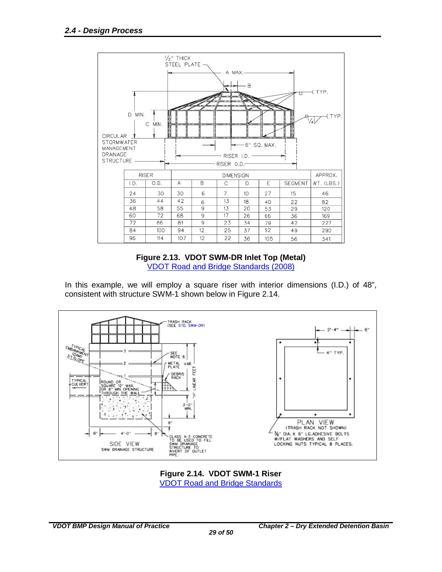

#### **Figure 2.13. VDOT SWM-DR Inlet Top (Metal)** [VDOT Road and Bridge Standards](http://www.virginiadot.org/business/locdes/2008_road_and_bridge_standards.asp) (2008)

<span id="page-32-0"></span>In this example, we will employ a square riser with interior dimensions (I.D.) of 48", consistent with structure SWM-1 shown below in Figure 2.14.



<span id="page-32-1"></span>**Figure 2.14. VDOT SWM-1 Riser** [VDOT Road and Bridge Standards](http://www.virginiadot.org/business/locdes/2008_road_and_bridge_standards.asp)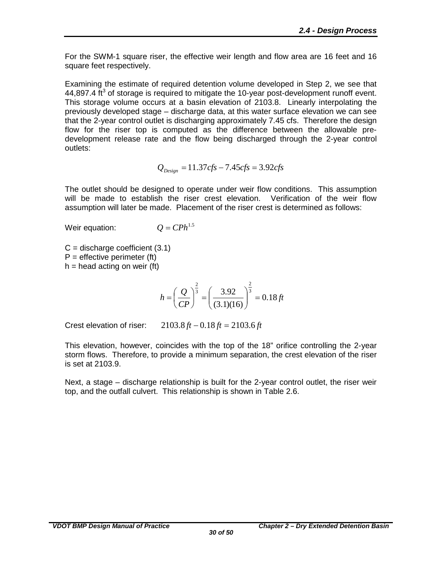For the SWM-1 square riser, the effective weir length and flow area are 16 feet and 16 square feet respectively.

Examining the estimate of required detention volume developed in Step 2, we see that 44,897.4  $\text{ft}^3$  of storage is required to mitigate the 10-year post-development runoff event. This storage volume occurs at a basin elevation of 2103.8. Linearly interpolating the previously developed stage – discharge data, at this water surface elevation we can see that the 2-year control outlet is discharging approximately 7.45 cfs. Therefore the design flow for the riser top is computed as the difference between the allowable predevelopment release rate and the flow being discharged through the 2-year control outlets:

$$
Q_{Design} = 11.37 cfs - 7.45 cfs = 3.92 cfs
$$

The outlet should be designed to operate under weir flow conditions. This assumption will be made to establish the riser crest elevation. Verification of the weir flow assumption will later be made. Placement of the riser crest is determined as follows:

Weir equation:  $Q = CPh^{1.5}$ 

 $C =$  discharge coefficient  $(3.1)$  $P =$  effective perimeter (ft)

 $h =$  head acting on weir (ft)

$$
h = \left(\frac{Q}{CP}\right)^{\frac{2}{3}} = \left(\frac{3.92}{(3.1)(16)}\right)^{\frac{2}{3}} = 0.18 \, \text{ft}
$$

Crest elevation of riser: 2103.8 *ft* − 0.18 *ft* = 2103.6 *ft*

This elevation, however, coincides with the top of the 18" orifice controlling the 2-year storm flows. Therefore, to provide a minimum separation, the crest elevation of the riser is set at 2103.9.

Next, a stage – discharge relationship is built for the 2-year control outlet, the riser weir top, and the outfall culvert. This relationship is shown in Table 2.6.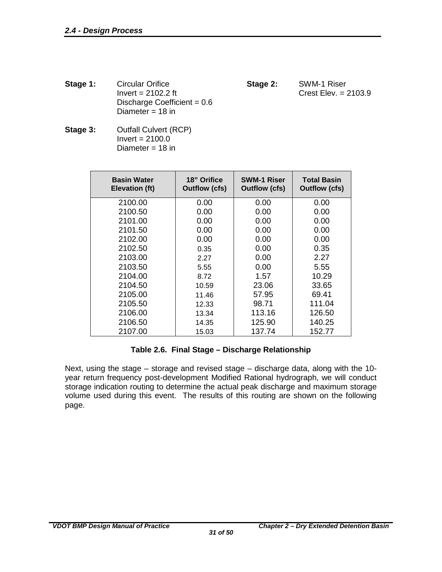**Stage 1:** Circular Orifice **Stage 2:** SWM-1 Riser<br>lnvert = 2102.2 ft **Stage 2:** Crest Elev. = 2 Discharge Coefficient = 0.6 Diameter = 18 in

Crest Elev.  $= 2103.9$ 

**Stage 3:** Outfall Culvert (RCP)  $Invert = 2100.0$ Diameter = 18 in

| <b>Basin Water</b><br><b>Elevation (ft)</b> | 18" Orifice<br><b>Outflow (cfs)</b> | <b>SWM-1 Riser</b><br><b>Outflow (cfs)</b> | <b>Total Basin</b><br><b>Outflow (cfs)</b> |
|---------------------------------------------|-------------------------------------|--------------------------------------------|--------------------------------------------|
| 2100.00                                     | 0.00                                | 0.00                                       | 0.00                                       |
| 2100.50                                     | 0.00                                | 0.00                                       | 0.00                                       |
| 2101.00                                     | 0.00                                | 0.00                                       | 0.00                                       |
| 2101.50                                     | 0.00                                | 0.00                                       | 0.00                                       |
| 2102.00                                     | 0.00                                | 0.00                                       | 0.00                                       |
| 2102.50                                     | 0.35                                | 0.00                                       | 0.35                                       |
| 2103.00                                     | 2.27                                | 0.00                                       | 2.27                                       |
| 2103.50                                     | 5.55                                | 0.00                                       | 5.55                                       |
| 2104.00                                     | 8.72                                | 1.57                                       | 10.29                                      |
| 2104.50                                     | 10.59                               | 23.06                                      | 33.65                                      |
| 2105.00                                     | 11.46                               | 57.95                                      | 69.41                                      |
| 2105.50                                     | 12.33                               | 98.71                                      | 111.04                                     |
| 2106.00                                     | 13.34                               | 113.16                                     | 126.50                                     |
| 2106.50                                     | 14.35                               | 125.90                                     | 140.25                                     |
| 2107.00                                     | 15.03                               | 137.74                                     | 152.77                                     |

#### **Table 2.6. Final Stage – Discharge Relationship**

<span id="page-34-0"></span>Next, using the stage – storage and revised stage – discharge data, along with the 10 year return frequency post-development Modified Rational hydrograph, we will conduct storage indication routing to determine the actual peak discharge and maximum storage volume used during this event. The results of this routing are shown on the following page.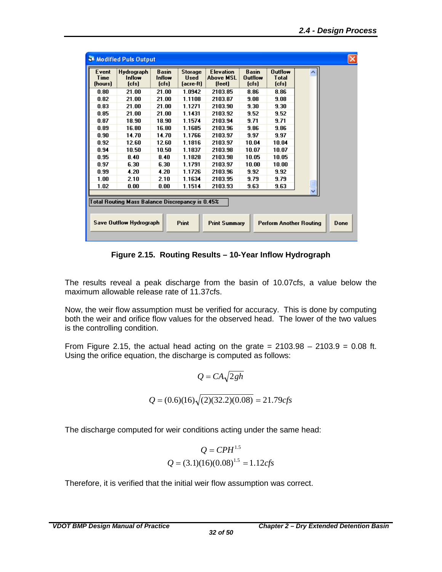|                                                                                                           | Modified Puls Output                            |                                         |                                     |                                                |                                                 |                                            |  |
|-----------------------------------------------------------------------------------------------------------|-------------------------------------------------|-----------------------------------------|-------------------------------------|------------------------------------------------|-------------------------------------------------|--------------------------------------------|--|
| Event<br>Time<br>(hours)                                                                                  | Hydrograph<br>Inflow<br>[ <sub>cfs</sub> ]      | <b>Basin</b><br>Inflow<br>$[{\rm cfs}]$ | Storage<br><b>Used</b><br>(acre-ft) | <b>Elevation</b><br><b>Above MSL</b><br>(feet) | <b>Basin</b><br><b>Outflow</b><br>$[{\rm cfs}]$ | <b>Outflow</b><br><b>T</b> otal<br>$[cfs]$ |  |
| 0.80                                                                                                      | 21.00                                           | 21.00                                   | 1.0942                              | 2103.85                                        | 8.86                                            | 8.86                                       |  |
| 0.82                                                                                                      | 21.00                                           | 21.00                                   | 1.1108                              | 2103.87                                        | 9.08                                            | 9.08                                       |  |
| 0.83                                                                                                      | 21.00                                           | 21.00                                   | 1.1271                              | 2103.90                                        | 9.30                                            | 9.30                                       |  |
| 0.85                                                                                                      | 21.00                                           | 21.00                                   | 1.1431                              | 2103.92                                        | 9.52                                            | 9.52                                       |  |
| 0.87                                                                                                      | 18.90                                           | 18.90                                   | 1.1574                              | 2103.94                                        | 9.71                                            | 9.71                                       |  |
| 0.89                                                                                                      | 16.80                                           | 16.80                                   | 1.1685                              | 2103.96                                        | 9.86                                            | 9.86                                       |  |
| 0.90                                                                                                      | 14.70                                           | 14.70                                   | 1.1766                              | 2103.97                                        | 9.97                                            | 9.97                                       |  |
| 0.92                                                                                                      | 12.60                                           | 12.60                                   | 1.1816                              | 2103.97                                        | 10.04                                           | 10.04                                      |  |
| 0.94                                                                                                      | 10.50                                           | 10.50                                   | 1.1837                              | 2103.98                                        | 10.07                                           | 10.07                                      |  |
| 0.95                                                                                                      | 8.40                                            | 8.40                                    | 1.1828                              | 2103.98                                        | 10.05                                           | 10.05                                      |  |
| 0.97                                                                                                      | 6.30                                            | 6.30                                    | 1.1791                              | 2103.97                                        | 10.00                                           | 10.00                                      |  |
| 0.99                                                                                                      | 4.20                                            | 4.20                                    | 1.1726                              | 2103.96                                        | 9.92                                            | 9.92                                       |  |
| 1.00                                                                                                      | 2.10                                            | 2.10                                    | 1.1634                              | 2103.95                                        | 9.79                                            | 9.79                                       |  |
| 1.02                                                                                                      | 0.00                                            | 0.00                                    | 1.1514                              | 2103.93                                        | 9.63                                            | 9.63                                       |  |
|                                                                                                           |                                                 |                                         |                                     |                                                |                                                 |                                            |  |
|                                                                                                           | Total Routing Mass Balance Discrepancy is 0.45% |                                         |                                     |                                                |                                                 |                                            |  |
|                                                                                                           |                                                 |                                         |                                     |                                                |                                                 |                                            |  |
| <b>Save Outflow Hydrograph</b><br>Print<br><b>Print Summary</b><br><b>Perform Another Routing</b><br>Done |                                                 |                                         |                                     |                                                |                                                 |                                            |  |

**Figure 2.15. Routing Results – 10-Year Inflow Hydrograph**

<span id="page-35-0"></span>The results reveal a peak discharge from the basin of 10.07cfs, a value below the maximum allowable release rate of 11.37cfs.

Now, the weir flow assumption must be verified for accuracy. This is done by computing both the weir and orifice flow values for the observed head. The lower of the two values is the controlling condition.

From Figure 2.15, the actual head acting on the grate  $= 2103.98 - 2103.9 = 0.08$  ft. Using the orifice equation, the discharge is computed as follows:

$$
Q = CA\sqrt{2gh}
$$
  

$$
Q = (0.6)(16)\sqrt{(2)(32.2)(0.08)} = 21.79cfs
$$

The discharge computed for weir conditions acting under the same head:

$$
Q = CPH^{1.5}
$$

$$
Q = (3.1)(16)(0.08)^{1.5} = 1.12cfs
$$

Therefore, it is verified that the initial weir flow assumption was correct.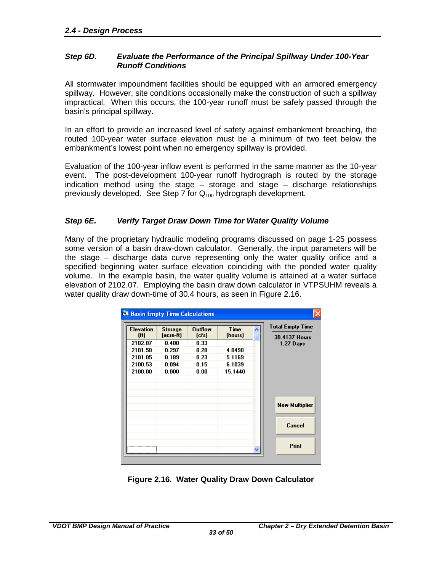#### <span id="page-36-0"></span>*Step 6D. Evaluate the Performance of the Principal Spillway Under 100-Year Runoff Conditions*

All stormwater impoundment facilities should be equipped with an armored emergency spillway. However, site conditions occasionally make the construction of such a spillway impractical. When this occurs, the 100-year runoff must be safely passed through the basin's principal spillway.

In an effort to provide an increased level of safety against embankment breaching, the routed 100-year water surface elevation must be a minimum of two feet below the embankment's lowest point when no emergency spillway is provided.

Evaluation of the 100-year inflow event is performed in the same manner as the 10-year event. The post-development 100-year runoff hydrograph is routed by the storage indication method using the stage – storage and stage – discharge relationships previously developed. See Step 7 for  $Q_{100}$  hydrograph development.

#### <span id="page-36-1"></span>*Step 6E. Verify Target Draw Down Time for Water Quality Volume*

Many of the proprietary hydraulic modeling programs discussed on page 1-25 possess some version of a basin draw-down calculator. Generally, the input parameters will be the stage – discharge data curve representing only the water quality orifice and a specified beginning water surface elevation coinciding with the ponded water quality volume. In the example basin, the water quality volume is attained at a water surface elevation of 2102.07. Employing the basin draw down calculator in VTPSUHM reveals a water quality draw down-time of 30.4 hours, as seen in Figure 2.16.

| <b>Elevation</b><br>[ft] | Storage<br>[acre-ft] | <b>Outflow</b><br>[ <b>cfs</b> ] | <b>Time</b><br>(hours) | <b>Total Empty Time</b><br>30.4137 Hours |
|--------------------------|----------------------|----------------------------------|------------------------|------------------------------------------|
| 2102.07                  | 0.400                | 0.33                             |                        | 1.27 Days                                |
| 2101.58                  | 0.297                | 0.28                             | 4.0490                 |                                          |
| 2101.05                  | 0.189                | 0.23                             | 5.1169                 |                                          |
| 2100.53                  | 0.094                | 0.15                             | 6.1039                 |                                          |
| 2100.00                  | 0.000                | 0.00                             | 15.1440                |                                          |
|                          |                      |                                  |                        |                                          |
|                          |                      |                                  |                        |                                          |
|                          |                      |                                  |                        |                                          |
|                          |                      |                                  |                        | <b>New Multiplier</b>                    |
|                          |                      |                                  |                        |                                          |
|                          |                      |                                  |                        | Cancel                                   |
|                          |                      |                                  |                        |                                          |
|                          |                      |                                  |                        | Print                                    |

<span id="page-36-2"></span>**Figure 2.16. Water Quality Draw Down Calculator**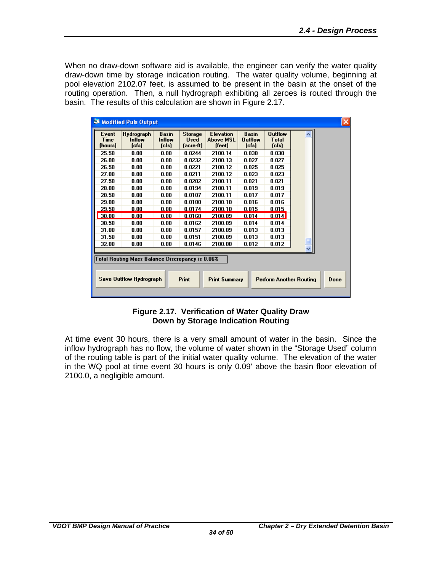When no draw-down software aid is available, the engineer can verify the water quality draw-down time by storage indication routing. The water quality volume, beginning at pool elevation 2102.07 feet, is assumed to be present in the basin at the onset of the routing operation. Then, a null hydrograph exhibiting all zeroes is routed through the basin. The results of this calculation are shown in Figure 2.17.

| Event<br>Time<br>(hours)                                                                                         | Hydrograph<br>Inflow<br>[ <b>cfs</b> ] | <b>Basin</b><br>Inflow<br>[ <b>cfs</b> ] | <b>Storage</b><br><b>Used</b><br>(acre-ft) | <b>Elevation</b><br><b>Above MSL</b><br>[feet] | <b>Basin</b><br><b>Outflow</b><br>[ <b>cfs</b> ] | <b>Outflow</b><br><b>Total</b><br>[ <b>cfs</b> ] |  |  |
|------------------------------------------------------------------------------------------------------------------|----------------------------------------|------------------------------------------|--------------------------------------------|------------------------------------------------|--------------------------------------------------|--------------------------------------------------|--|--|
| 25.50                                                                                                            | 0.00                                   | 0.00                                     | 0.0244                                     | 2100.14                                        | 0.030                                            | 0.030                                            |  |  |
| 26.00                                                                                                            | 0.00                                   | 0.00                                     | 0.0232                                     | 2100.13                                        | 0.027                                            | 0.027                                            |  |  |
| 26.50                                                                                                            | 0.00                                   | 0.00                                     | 0.0221                                     | 2100.12                                        | 0.025                                            | 0.025                                            |  |  |
| 27.00                                                                                                            | 0.00                                   | 0.00                                     | 0.0211                                     | 2100.12                                        | 0.023                                            | 0.023                                            |  |  |
| 27.50                                                                                                            | 0.00                                   | 0.00                                     | 0.0202                                     | 2100.11                                        | 0.021                                            | 0.021                                            |  |  |
| 28.00                                                                                                            | 0.00                                   | 0.00                                     | 0.0194                                     | 2100.11                                        | 0.019                                            | 0.019                                            |  |  |
| 28.50                                                                                                            | 0.00                                   | 0.00                                     | 0.0187                                     | 2100.11                                        | 0.017                                            | 0.017                                            |  |  |
| 29.00                                                                                                            | 0.00                                   | 0.00                                     | 0.0180                                     | 2100.10                                        | 0.016                                            | 0.016                                            |  |  |
| 29.50                                                                                                            | 0.00                                   | 0.00                                     | 0.0174                                     | 2100.10                                        | 0.015                                            | 0.015                                            |  |  |
| 30.00                                                                                                            | 0.00                                   | 0.00                                     | 0.0168                                     | 2100.09                                        | 0.014                                            | 0.014                                            |  |  |
| 30.50                                                                                                            | 0.00                                   | 0.00                                     | 0.0162                                     | 2100.09                                        | 0.014                                            | 0.014                                            |  |  |
| 31.00                                                                                                            | 0.00                                   | 0.00                                     | 0.0157                                     | 2100.09                                        | 0.013                                            | 0.013                                            |  |  |
| 31.50                                                                                                            | 0.00                                   | 0.00                                     | 0.0151                                     | 2100.09                                        | 0.013                                            | 0.013                                            |  |  |
| 32.00                                                                                                            | 0.00                                   | 0.00                                     | 0.0146                                     | 2100.08                                        | 0.012                                            | 0.012                                            |  |  |
| Total Routing Mass Balance Discrepancy is 0.06%                                                                  |                                        |                                          |                                            |                                                |                                                  |                                                  |  |  |
| <b>Save Outflow Hydrograph</b><br><b>Print</b><br><b>Print Summary</b><br><b>Perform Another Routing</b><br>Done |                                        |                                          |                                            |                                                |                                                  |                                                  |  |  |

#### **Figure 2.17. Verification of Water Quality Draw Down by Storage Indication Routing**

<span id="page-37-0"></span>At time event 30 hours, there is a very small amount of water in the basin. Since the inflow hydrograph has no flow, the volume of water shown in the "Storage Used" column of the routing table is part of the initial water quality volume. The elevation of the water in the WQ pool at time event 30 hours is only 0.09' above the basin floor elevation of 2100.0, a negligible amount.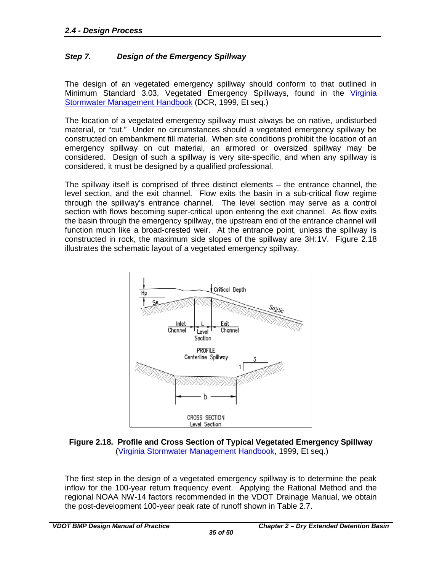#### <span id="page-38-0"></span>*Step 7. Design of the Emergency Spillway*

The design of an vegetated emergency spillway should conform to that outlined in Minimum Standard 3.03, Vegetated Emergency Spillways, found in the Virginia [Stormwater Management Handbook](http://www.dcr.virginia.gov/stormwater_management/stormwat.shtml) (DCR, 1999, Et seq.)

The location of a vegetated emergency spillway must always be on native, undisturbed material, or "cut." Under no circumstances should a vegetated emergency spillway be constructed on embankment fill material. When site conditions prohibit the location of an emergency spillway on cut material, an armored or oversized spillway may be considered. Design of such a spillway is very site-specific, and when any spillway is considered, it must be designed by a qualified professional.

The spillway itself is comprised of three distinct elements – the entrance channel, the level section, and the exit channel. Flow exits the basin in a sub-critical flow regime through the spillway's entrance channel. The level section may serve as a control section with flows becoming super-critical upon entering the exit channel. As flow exits the basin through the emergency spillway, the upstream end of the entrance channel will function much like a broad-crested weir. At the entrance point, unless the spillway is constructed in rock, the maximum side slopes of the spillway are 3H:1V. Figure 2.18 illustrates the schematic layout of a vegetated emergency spillway.



<span id="page-38-1"></span>

The first step in the design of a vegetated emergency spillway is to determine the peak inflow for the 100-year return frequency event. Applying the Rational Method and the regional NOAA NW-14 factors recommended in the VDOT Drainage Manual, we obtain the post-development 100-year peak rate of runoff shown in Table 2.7.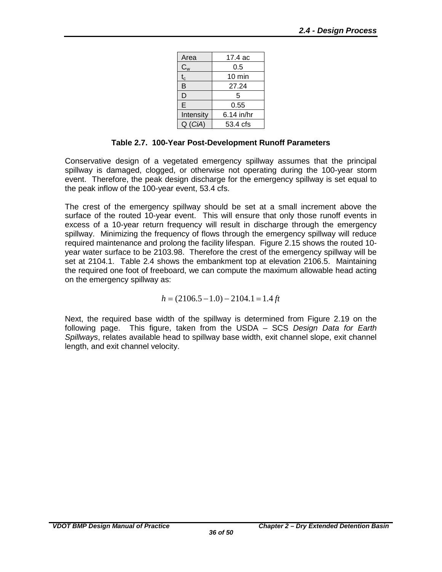| Area      | 17.4 ac          |
|-----------|------------------|
| $C_{w}$   | 0.5              |
| $t_c$     | $10 \text{ min}$ |
| B         | 27.24            |
| D         | 5                |
| E         | 0.55             |
| Intensity | 6.14 in/hr       |
| Q(CiA)    | 53.4 cfs         |

#### **Table 2.7. 100-Year Post-Development Runoff Parameters**

<span id="page-39-0"></span>Conservative design of a vegetated emergency spillway assumes that the principal spillway is damaged, clogged, or otherwise not operating during the 100-year storm event. Therefore, the peak design discharge for the emergency spillway is set equal to the peak inflow of the 100-year event, 53.4 cfs.

The crest of the emergency spillway should be set at a small increment above the surface of the routed 10-year event. This will ensure that only those runoff events in excess of a 10-year return frequency will result in discharge through the emergency spillway. Minimizing the frequency of flows through the emergency spillway will reduce required maintenance and prolong the facility lifespan. Figure 2.15 shows the routed 10 year water surface to be 2103.98. Therefore the crest of the emergency spillway will be set at 2104.1. Table 2.4 shows the embankment top at elevation 2106.5. Maintaining the required one foot of freeboard, we can compute the maximum allowable head acting on the emergency spillway as:

 $h = (2106.5 - 1.0) - 2104.1 = 1.4 \text{ ft}$ 

Next, the required base width of the spillway is determined from Figure 2.19 on the following page. This figure, taken from the USDA – SCS *Design Data for Earth Spillways*, relates available head to spillway base width, exit channel slope, exit channel length, and exit channel velocity.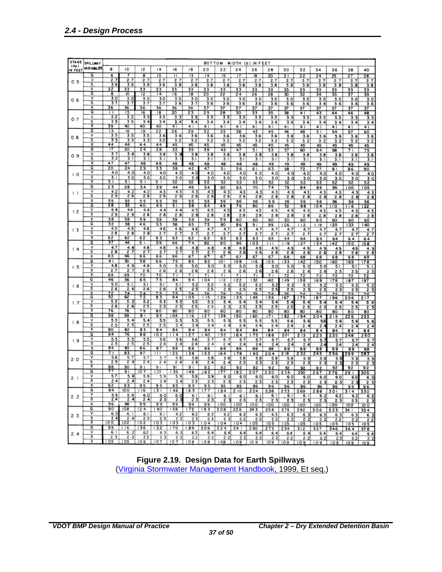| <b>STAGE</b>   |                         |                   |                 |                                                                               |                 |                 |           |                 |                       |                  |                   |               |             |               |                |                     |      |                     |
|----------------|-------------------------|-------------------|-----------------|-------------------------------------------------------------------------------|-----------------|-----------------|-----------|-----------------|-----------------------|------------------|-------------------|---------------|-------------|---------------|----------------|---------------------|------|---------------------|
| (Hp)           | <b>SPILLWAY</b>         |                   |                 |                                                                               |                 |                 |           | BOTTOM          |                       |                  | WIDTH (b) IN FEET |               |             |               |                |                     |      |                     |
| IN FEET        | <b>VARIABLES</b>        | 8                 | 10              | 12                                                                            | 4               | 16              | 18        | 20              | 22                    | 24               | 26                | 28            | 30          | 32            | 34             | 36                  | 38   | 40                  |
|                | ٥                       |                   |                 |                                                                               |                 |                 |           |                 |                       |                  |                   |               |             |               |                |                     |      |                     |
|                | $\overline{\mathsf{v}}$ | 6                 |                 | 8                                                                             | 10              | п               | 13        | $\overline{14}$ | 15                    | $\overline{17}$  | 18                | 20            | 21          | 22            | 24             | 25                  | 27   | 28                  |
| 0.5            |                         | 2.7               | 2.7             | 2.7                                                                           | 2.7             | 2.7             | 2.7       | 2.7             | 2.7                   | 2.7              | 2.7               | 2.7           | 2.7         | 2.7           | 2.7            | 2.7                 | 2.7  | 2.7                 |
|                | $\overline{\mathsf{s}}$ | 3.9               | 3.9             | 3.9                                                                           | 3.9             | 3.<br>.8        | 3.8       | 3.8             | 3.8                   | 3.8              | 3.8               | 3.8           | 3.8         | 3.8           | 3.8            | 3.8                 | 3.8  | 3.8                 |
|                | x                       | 32                | 33              | 33                                                                            | 33              | 33              | 33        | 33              | 33                    | 33               | 33                | 33            | 33          | 33            | 33             | 33                  | 33   | 33                  |
|                | ठ                       | 8                 | ю               | ï2                                                                            | $\overline{14}$ | $\overline{6}$  | 18        | 20              | 22                    | 24               | 26                | 28            | 30          | 32            | 34             | 35                  | 37   | 39                  |
| 0.6            | v                       | 3.0               | 3.0             | 3.0                                                                           | 3.0             | 3.0             | 3.0       | 3.0             | 3.0                   | 3.0              | 3.0               | 3.0           | 3.0         | 3.0           | 3.0            | 3.0                 | 3.0  | 3.0                 |
|                | ड                       | 3.7               | 3.7             | 3.7                                                                           | 3.7             | 3.6             | 3.7       | 3.6             | 3.6                   | 3.6              | 3.6               | 3.6           | 3.6         | 3.6           | 3.6            | 3.6                 | 3.6  | 3.6                 |
|                | x                       | 36                | 36              | 36                                                                            | 36              | 36              | 36        | $\overline{37}$ | 37                    | 37               | 37                | 37            | 37          | 37            | 37             | 37                  | 37   | 37                  |
|                | σ                       | īΤ                | 13              | 16                                                                            | 18              | 20              | 23        | 25              | 28                    | 30               | 33                | 35            | 38          | 41            | 43             | 44                  | 46   | 48                  |
|                | ٧                       | 3.2               | 3.2             | 3.3                                                                           | 3.3             | 3.3             | 3.3       | 3.3             | 3.3                   | 3.3              | 3.3               | 3.3           | 3.3         | 3.3           | 3.3            | 3.3                 | 3.3  | 3.3                 |
| 0.7            | s                       | 3.5               | 3.5             | 3.4                                                                           | 3.4             | 3,4             | 5.4       | 3.4             | 3.4                   | 3.4              | 3.4               | 3.4           | 3.4         | 3.4           | 3.4            | 3.4                 | 3.4  |                     |
|                | χ                       | 39                | 40              | 40                                                                            | 40              | 41              | 4         | 41              | 41                    | 41               | 41                | 4             | 4           | 4             | 41             | 41                  |      | 3.4<br>41           |
|                | ठ                       | 13                | 16              | 19                                                                            | 22              |                 |           |                 |                       |                  |                   |               |             |               |                |                     | 4    |                     |
|                | ⊽                       | 3.5               | 3.5             |                                                                               |                 | 26              | 29        | 32              | 35                    | 38               | 42                | 45            | 46          | 48            | 5 <sub>1</sub> | 54                  | 57   | 60                  |
| 0.8            | $\overline{\mathbf{s}}$ |                   |                 | 3.5                                                                           | 3.6             | 3.6             | 3.6       | 3.6             | 3.6                   | 3.6              | 3.6               | 3.6           | 3.6         | 3.6           | 3.6            | 3.6                 | 3.6  | 3.6                 |
|                | Ⴟ                       | 3.3<br>44         | 3.3<br>44       | $3.\overline{3}$                                                              | 3.2             | 3.2             | 3.2       | 3.2             | 3.2                   | 3.2              | 3.2               | 3.2           | 3.2         | 3.2           | 3.2            | 3.2                 | 3.2  | 3.2                 |
|                |                         |                   |                 | 44                                                                            | 44              | 45              | 45        | 45              | 45                    | 45               | 45                | 45            | 45          | 45            | 45             | 45                  | 45   | 45                  |
|                | ٥                       | $\overline{17}$   | $\overline{20}$ | 24                                                                            | 28              | 32              | 35        | 39              | 43                    | 47               | 5١                | 53            | 57          | 60            | 64             | 68                  | 71   | 75                  |
| 0.9            | ٧                       | $\frac{3.7}{3.2}$ | 3.8             | 3.8                                                                           | 3.8             | 3.8             | 3.8       | 3.8             | 3.8                   | 3.8              | 3.8               | 3.8           | 3.8         | 3.8           | 3.8            | 3.8                 | 3.8  | 3.8                 |
|                | s                       |                   | 3.1             | 3.1                                                                           | 3.1             | 3.              | 3.1       | 3.1             | 3.1                   | 31               | 3. I              | 3.1           | 3.1         | 3.1           | 3.1            | 3.1                 | 3. I | 3.1                 |
|                | X                       | 47                | 47              | 48                                                                            | 48              | 48              | 48        | 48              | 48                    | 48               | 48                | 49            | 49          | 49            | 49             | 49                  | 49   | 49                  |
|                | ٥                       | $\overline{20}$   | $^{24}$         | 29                                                                            | 33              | 38              | 42        | 47              | 5١                    | 56               | 61                | 63            | 68          | 72            | 77             | 81                  | 86   | 90                  |
| $\overline{0}$ | ν                       | 4.0               | 4.0             | 4.0                                                                           | 4.0             | 4.0             | 4.0       | 4.0             | 4.0                   | 4.0              | 4.0               | 4.0           | 4.0         | 40            | 4.0            | 4.0                 | 4.0  | 4.0                 |
|                | s                       | 3. i              | 3.0             | 3.0                                                                           | 3.0             | 3.0             | 3         | 3.0             | 3.<br>.o              | 3.<br>.o         | 3.0               | 3.0           | 3.0         | 3.0           | 3.Q            |                     | 3.0  | $3-0$               |
|                | Ⴟ                       | 51                | 51              | 51                                                                            | $5^{+}$         | 52              | 52        | 52              | 52                    | 52               | 52                | 52            | 52          | 52            | 52             | $\frac{3.0}{52}$    | 52   | 52                  |
|                | ٥                       | 23                | 28              | 34                                                                            | 39              | 44              | 49        | 54              | 60                    | 65               | 70                | 74            | 79          | 84            | 89             | 95                  | oo   | 05                  |
|                | ⊽                       | 4.2               | 4.2             | 4.2                                                                           | 4.3             | 4.3             | 4.3       | 4.3             | 4.3                   | 4.3              | 4. 3              | 4.3           | 4, 3        | 4.3           | 4.3            | 4.3                 | 4.3  | 4.3                 |
| $\mathsf{L}$   | $\overline{\mathbf{s}}$ | 2.9               | 2.9             | 2.9                                                                           | 2.9             | 2.9             | 2.9       | 2.9             | 2.9                   | 2.9              | 2.8               | 2.8           | 2.8         | 2.8           | 2.8            | 2.8                 | 2.8  |                     |
|                | x                       | 55                | 55              | 55                                                                            | 55              | 55              | 55        | 55              | 56                    |                  |                   |               |             |               |                |                     |      | 2.8                 |
|                | Q                       | 28                | 33              | 40                                                                            | 45              | 51              |           | 64              |                       | 56               | 56                | 56            | 56          | 56            | 56             | 56                  | 56   | 56                  |
|                | ⊽                       | 4.4               | 44              | 4.4                                                                           | 4, 4            | 4, 4            | 58<br>4.5 |                 | 69                    | 76               | 80                | 86            | 92          | 98            | 104            | 110                 | 116  | 22                  |
| 1.2            | s                       | 2.9               | 2.9             |                                                                               |                 |                 |           | 4.5             | 4.5                   | 4.5              | 4.5               | 4.5           | 4.5         | 4.5           | 4.5            | 4.5                 | 4.5  | 4.5                 |
|                |                         |                   |                 | 2.8                                                                           | 28              | 2.8             | 2.8       | 28              | 2.8                   | 2.8              | 2.8               | 2.8           | 2.8         | 2.8           | 2.8            | 2.8                 | 2.8  | 2.8                 |
|                | x                       | 58                | 58              | 59                                                                            | 59              | 59              | 59        | 59              | 59                    | 60               | 60                | 60            | 60          | 60            | 60             | 60                  | 60   | 60                  |
|                | ٥                       | 32                | 38              | 46                                                                            | 53              | 58              | 65        | 73              | 80                    | 86               | 9 1               | 99            | C6          | 12            | 9              | 25                  | 33   | 40                  |
| 1.3            | ν                       | 4.5               | 4.6             | 4.6                                                                           | 4.6             | 4.6             | 46        | 4.7             | 4.7                   | 4. 7             | 4,7               | 4.7           | 4.7         | 4.7           | 4.7            | 4.7                 | 4.7  | 4.7                 |
|                | $\overline{\mathsf{s}}$ | 28                | 2.8             | 2.8                                                                           | 2.7             | 2.7             | 2.7       | 2.7             | 2.7                   | $\overline{2.7}$ | 2.7               | 2.7           | 2.7         | 2.7           | 2.7            | 2.7                 | 2.7  | 2.7                 |
|                | $\overline{\mathsf{x}}$ | 62                | 62              | 62                                                                            | 63              | 63              | 63        | 63              | 63                    | 63               | 63                | 63            | 64          | 64            | 64             | 64                  | 64   | 64                  |
|                | ٥                       | 37                | 44              | 51                                                                            | 59              | 66              | 74        | 82              | 90                    | 96               | 03                | Ш             | 19          | 27            | 34             | 42                  | 50   | 58                  |
| 1.4            | ٧                       | 4.7               | 4.8             | 4.8                                                                           | 4.8             | 4.8             | 4.8       | 4.8             | 4.8                   | 4.8              | 49                | 4.9           | 4.9         | 4.9           | 4.9            | 4.9                 | 49   |                     |
|                | s                       | 2.8               | 2.7             | 2.7                                                                           | 2.7             | 2.7             | 2.7       | 2.7             | $\overline{2}$<br>6   | 2.6              | 2.6               | 2.6           | 2.6         | 2.6           | 2.6            | 2.6                 | 2.6  | $\frac{4.9}{2.6}$   |
|                | x                       | 65                | 66              | 66                                                                            | 66              | 66              | 67        | 67              | 67                    | 67               | 67                | 67            | 68          | 68            | 68             | 68                  | 68   | 69                  |
|                | ٥                       | 41                | 50              | 58                                                                            | 66              | 75              | 85        | 92              | $\overline{101}$      | 08               | 16                | 25            | 33          | 42            | 150            | 60                  | 69   | 78                  |
| 1.5            | ν                       | 4.8               | 4.9             | 4.9                                                                           | 5.0             | 5.0             | 5.0       | 5.0             | 5.0                   | 5.0              | 5.0               | 5.0           | 5.0         | 5.<br>$\circ$ | 5.<br>o        | 5.1                 | 5.1  | 5.1                 |
|                | s                       | 2.7               | 2.              | 2.6                                                                           | 2.6             | 2.6             | 2.6       | 2.6             | $\mathbf{2}$<br>6     | 2.6              | 2.6               | 2.6           | 2,6         | 2.<br>6       | 2.6            | 2.5                 | 2.5  | 2.5                 |
|                | $\overline{\mathbf{x}}$ | 69                | 69              | 70                                                                            | 70              | 71              | 71        | 71              | 71                    | 71               | 71                | 71            | 72          | 72            | 72             | 72                  | 72   | 72                  |
|                | Q                       | 46                | 56              | 65                                                                            | 75              | 84              | 94        | 104             | 112                   | 122              | 32                | 142           | 149         | 158           | 168            | 178                 | 187  | 197                 |
|                | $\overline{\mathsf{v}}$ | 5.0               | 5.1             | 5.1                                                                           | 5.1             | 5.1             | 5.2       | 5.2             | 5.2                   | 5.2              | 5.2               | 5.2           | 5.2         | 5.2           | 5.2            | 5.2                 | 5.2  |                     |
| 1.6            | s                       | 2.6               | 2.6             | 2.6                                                                           | 2.6             | 2.5             | 2.5       | 2.5             | 2.5                   | 2.5              | 2.5               | 2.5           | 2.5         | 2.5           | 2.5            | 2.5                 | 2.5  | $\frac{5}{2}$ . 3   |
|                | X                       |                   |                 | 74                                                                            | 75              | 75              | 76        | 76              | 76                    | 76               | 76                | 76            | 76          | 76            | 76             | 76                  | 7 C  | 76                  |
|                | ٥                       | $\frac{72}{52}$   | $\frac{74}{62}$ | 72                                                                            | 83              | 94              | 05        | 115             | 26                    | 35               | 45                | 156           | 167         | 175           | 187            | 196                 | 206  | 217                 |
| 1.7            | ν                       | 5.2               | 5.2             | 5.2                                                                           | 5.3             | 5.3             | 53        | 5.3             | 5.4                   | 5.4              | 5.4               | 5.4           | 5.4         | 5.4           | 5.4            | 5.4                 | 5.4  | 5.4                 |
|                | ङ                       | 2.6               | 2.6             | 2.5                                                                           | 2.5             | 2.5             | 2.5       | 2.5             | 2.5                   | 2.5              | 2.5               | 2.5           | 2.5         | 2.5           | 2.5            | 2.5                 | 2.5  | $\overline{2}$<br>5 |
|                | ᅑ                       | 76                | 78              | 79                                                                            | 80              | 80              | 80        | 80              | 80                    | 80               | 80                | 80            | 80          | 80            | 80             | 80                  | 80   | 80                  |
|                | σ                       | 58                | 69              | $\overline{8}$                                                                | 93              | 04              | 16        | 127             | 138                   | 50               | 60                | 71            | 82          | 94            | 204            | 214                 | 226  | 233                 |
|                | ٧                       | 5.3               | 5.4             | 5.4                                                                           | 5.5             | 5.5             | 5.5       | 5.5             | 5.5                   | 5.5              | 5.5               | 5.5           | 56          | 5. 6          | 5.6            | 5.6                 |      |                     |
| 1.8            | s                       | 2.5               | 2.5             | 2.5                                                                           | 2.5             | 2.4             | 2.4       | 2.4             | 2.4                   | 2.4              | 2.4               | 2.4           | 2.4         | 2.4           | 2.4            | 2A                  | 5.6  | 5.6                 |
|                | X                       | 80                | 82              | 83                                                                            | 84              | 84              | 84        | 84              | 84                    | 84               | 84                | 84            | 84          | 84            | 84             |                     | 2.4  | 2.4                 |
|                | Q                       | 64                | 76              | 88                                                                            | 102             | 4               | 27        | 40              | 52                    | 64               | 75                | 88            | 201         | 213           | 225            | 84                  | 84   | 84                  |
|                | ٧                       | 5.5               | 5.5             | 5.5                                                                           | 5.6             | 5.6             | 5.6       | 5.7             | 5.7                   | 5.7              |                   | 5.7           | 5.7         |               |                | 235                 | 248  | 260                 |
| 1.9            | $\overline{\mathsf{s}}$ | 2.5               | 2.5             | 2.5                                                                           | 2.4             | 2.4             | 2.4       | 2.4             | 2.4                   | 2.4              | $\frac{5.7}{2.4}$ |               |             | 5.7           | 5.7            | 5.7                 | 5.7  | 5.7                 |
|                | $\overline{\mathbf{x}}$ | 84                | 85              | 86                                                                            | 87              | 88              | 88        | 88              | 88                    | 88               | 88                | 2.4<br>88     | 2.4         | 2.<br>4       | <u>2</u>       | 2.4                 | 2.4  | 2.4                 |
|                | ٥                       | 71                | 83              | 97                                                                            | Ш               | 25              |           |                 |                       |                  |                   |               | 88          | 88            | 88             | 88                  | 88   | 88                  |
|                | ٧                       | 5.6               | 5.7             |                                                                               |                 |                 | 138       | 153             | 64                    | 78               | 93                | 204           | 218         | 232           | 245            | 256                 | 269  | 283                 |
| 2.0            | s                       | 2.5               | 2.4             | 5.7<br>2.4                                                                    | 5.7             | 5.8             | 5.8       | 5.8             | 5.8<br>$\overline{4}$ | 5.8              | 5.8               | 5.8           | 5.9         | 5.9           | 5.9            | 5.9                 | 5.9  | $\frac{5.9}{2.3}$   |
|                | X                       |                   |                 |                                                                               | 2.4             | 2.4             | 2.4       | 2.4             | ž.                    | 2.3              | 2.3               | 2.3           | 2.3         | 2.3           | 2.3            | 2.3                 | 2.3  |                     |
|                |                         | 88                | 90              | 91                                                                            | 91              | 91              | 91        | 92              | 92                    | 92               | 92                | 92            | 92          | 92            | 92             | 92                  | 92   | 92                  |
|                | ٥                       | 77                | 91              | 107                                                                           | 122             | 35              | 49        | 62              | 177                   | 92               | 207               | 20            | 34          | 250           | 267            | 276                 | 29 I | 305                 |
| 2. I           | ٧                       | 5.7               | 5.8             | 5.9                                                                           | 5.9             | 5.9             | 5.9       | 59              | 6.0                   | 6.0              | 6.0               | 6.0           | 6.0         | 6.0           | 6.0            | 6.0                 | 6.0  | 6.0                 |
|                | $\overline{\mathbf{s}}$ | 2.4               |                 | $\begin{array}{ c c c c }\n\hline\n2.4 & 2.4 \\ \hline\n93 & 95\n\end{array}$ | 2.4             |                 | 2.3       | 2.3             | 2.3                   | 2.3              | 2.3               | 2.3           | <u>2, 5</u> | 2.3           | 2.3            | 2.31                |      | 2.3                 |
|                | х                       | 92                |                 |                                                                               | 95              | 95              | 95        | 95              | 95                    | 95               | 96                | 96            | $96 -$      | 96            |                | $96$ $96$           | 96   | 96                  |
|                | $\overline{\mathbf{Q}}$ | 84                | $100$ $116$     |                                                                               | 131             | 146             | 163 177   |                 | $194$ 210 224         |                  |                   | 2,38          | 253 269     |               |                | 288 301 314 330     |      |                     |
| 2.2            | ν                       | 5.9               | 5.9             | 6.0                                                                           | 6.0             |                 | 6.1       | 6.1             | 6.1                   | 6.1              | 6.1               | 6. I          | 6.II        | 6.1           | 62             | 6.2                 | 6.2  | 6.2                 |
|                | ड                       | 2.4               | 2.4             | 2.4                                                                           | 2.3             | $rac{6.0}{2.3}$ | 2.3       | 2.3             | 2.3                   | 2.3              | 2.3               | 2.3           | 2.3         | 2.3           | 2.3            | 2.3                 | 2.3  | 2.3                 |
|                | $\overline{\mathbf{x}}$ | 96 I              |                 | $96$ 99                                                                       | 99              | 99              |           |                 |                       |                  |                   |               |             |               |                |                     |      |                     |
|                | ٥                       | 90                | $108$   124     |                                                                               | 140             | 158             | $175$ 193 |                 | 208                   | 226              | 243               | 258           | 275         | 292           | 306 323        |                     | 341  | 354                 |
|                | ٧                       | 6.0               | 6.1             | 6.1                                                                           | 6.1             | 6.2             | 6.2       | 6.2             | 6.2                   | 6.3              | 6.3               | 6.3           | 6.3         |               |                |                     |      |                     |
| 2.3            | $\overline{\mathbf{s}}$ | 2.4               | 2.4             | 2.3                                                                           | 2.3             | 2.3             | 2.3       | 2.3             |                       | 2.2              |                   |               |             | 6.3           | 6.3            | 6.3                 | 6.3  | 6.3                 |
|                | Х                       | 100               |                 | $102$ $102$                                                                   | 103             | 103             |           | $103$ $104$     | 2.3                   | 104   104        | 2.2<br>105        | 2.2           | 2.2         | 2.2           | 2.2            | 2.2                 | 2.2  | 2.2                 |
|                | ٥                       | 99                | $116$ 136       |                                                                               | 152             | 170             | 189 206   |                 | $224$ 24              |                  |                   | $105$   $105$ |             |               |                | 105 105 105 105 105 |      |                     |
|                | v                       | 6. I              | 6.21            | 6.2                                                                           | 6.3             |                 |           |                 |                       |                  | 260               | 275           | 294         | 312           |                | 327 346 364 378     |      |                     |
| 2.4            | $\overline{\mathbf{s}}$ | 2.3               | 2.3             | 23                                                                            |                 | 6.3             | 6.3       | 6.4             | 6.4                   | 6.4              | 6.4               | 6.4           | 6.4         | 6.4           | 6.4            | 6.4                 | 6.4  | 6.4                 |
|                | х                       |                   |                 |                                                                               | 2.3             | 2.3             | 22        | 2.2             | 2.2                   | 2.2              | 2.2               | 2.2           | 2.2         | 2.2           | 2.2            | 2.2                 | 2.2  | 2.2                 |
|                |                         |                   |                 | 105 105 106 107 107 108 108 108 109                                           |                 |                 |           |                 |                       |                  |                   |               |             |               |                |                     |      |                     |

#### **Figure 2.19. Design Data for Earth Spillways**

<span id="page-40-0"></span>[\(Virginia Stormwater Management Handbook,](http://www.dcr.virginia.gov/stormwater_management/stormwat.shtml) 1999, Et seq.)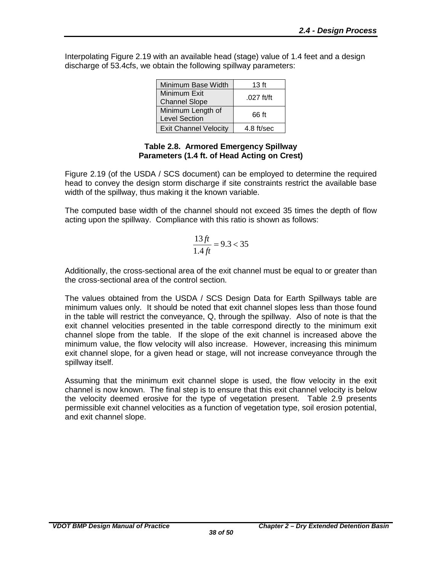Interpolating Figure 2.19 with an available head (stage) value of 1.4 feet and a design discharge of 53.4cfs, we obtain the following spillway parameters:

| Minimum Base Width                        | $13$ ft     |
|-------------------------------------------|-------------|
| Minimum Exit<br><b>Channel Slope</b>      | .027 $ft/t$ |
| Minimum Length of<br><b>Level Section</b> | 66 ft       |
| <b>Exit Channel Velocity</b>              | 4.8 ft/sec  |

#### **Table 2.8. Armored Emergency Spillway Parameters (1.4 ft. of Head Acting on Crest)**

<span id="page-41-0"></span>Figure 2.19 (of the USDA / SCS document) can be employed to determine the required head to convey the design storm discharge if site constraints restrict the available base width of the spillway, thus making it the known variable.

The computed base width of the channel should not exceed 35 times the depth of flow acting upon the spillway. Compliance with this ratio is shown as follows:

$$
\frac{13ft}{1.4ft} = 9.3 < 35
$$

Additionally, the cross-sectional area of the exit channel must be equal to or greater than the cross-sectional area of the control section.

The values obtained from the USDA / SCS Design Data for Earth Spillways table are minimum values only. It should be noted that exit channel slopes less than those found in the table will restrict the conveyance, Q, through the spillway. Also of note is that the exit channel velocities presented in the table correspond directly to the minimum exit channel slope from the table. If the slope of the exit channel is increased above the minimum value, the flow velocity will also increase. However, increasing this minimum exit channel slope, for a given head or stage, will not increase conveyance through the spillway itself.

Assuming that the minimum exit channel slope is used, the flow velocity in the exit channel is now known. The final step is to ensure that this exit channel velocity is below the velocity deemed erosive for the type of vegetation present. Table 2.9 presents permissible exit channel velocities as a function of vegetation type, soil erosion potential, and exit channel slope.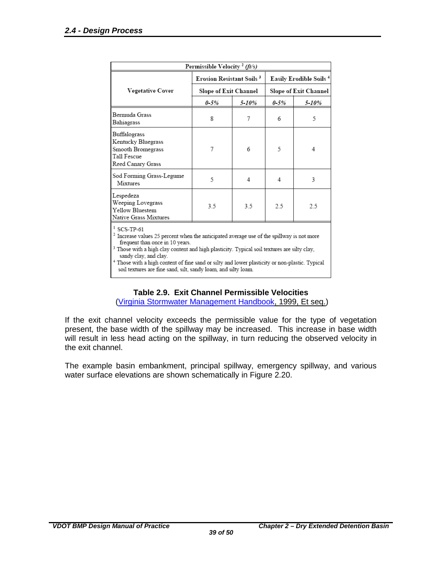| Permissible Velocity <sup>2</sup> (ft/s)                                                                                                                                                                                                                                                                                                                                                        |                                             |       |                                                         |       |  |  |
|-------------------------------------------------------------------------------------------------------------------------------------------------------------------------------------------------------------------------------------------------------------------------------------------------------------------------------------------------------------------------------------------------|---------------------------------------------|-------|---------------------------------------------------------|-------|--|--|
|                                                                                                                                                                                                                                                                                                                                                                                                 | <b>Erosion Resistant Soils</b> <sup>3</sup> |       | <b>Easily Erodible Soils 4</b><br>Slope of Exit Channel |       |  |  |
| <b>Vegetative Cover</b>                                                                                                                                                                                                                                                                                                                                                                         | Slope of Exit Channel                       |       |                                                         |       |  |  |
|                                                                                                                                                                                                                                                                                                                                                                                                 | $0 - 5\%$                                   | 5-10% | $0 - 5\%$                                               | 5-10% |  |  |
| Bermuda Grass<br>Bahiagrass                                                                                                                                                                                                                                                                                                                                                                     | 8                                           | 7     | 6                                                       | 5     |  |  |
| Buffalograss<br>Kentucky Bluegrass<br>Smooth Bromegrass<br>Tall Fescue<br>Reed Canary Grass                                                                                                                                                                                                                                                                                                     | 7                                           | 6     | 5                                                       | 4     |  |  |
| Sod Forming Grass-Legume<br>Mixtures                                                                                                                                                                                                                                                                                                                                                            | 5                                           | 4     | 4                                                       | 3     |  |  |
| Lespedeza<br>Weeping Lovegrass<br>Yellow Bluestem<br>Native Grass Mixtures                                                                                                                                                                                                                                                                                                                      | 3.5                                         | 3.5   | 2.5                                                     | 2.5   |  |  |
| $1$ SCS-TP-61<br>$2$ Increase values 25 percent when the anticipated average use of the spillway is not more<br>frequent than once in 10 years.<br><sup>3</sup> Those with a high clay content and high plasticity. Typical soil textures are silty clay,<br>sandy clay, and clay.<br><sup>4</sup> Those with a high content of fine sand or silty and lower plasticity or non-plastic. Typical |                                             |       |                                                         |       |  |  |

soil textures are fine sand, silt, sandy loam, and silty loam.

#### **Table 2.9. Exit Channel Permissible Velocities**

[\(Virginia Stormwater Management Handbook,](http://www.dcr.virginia.gov/stormwater_management/stormwat.shtml) 1999, Et seq.)

<span id="page-42-0"></span>If the exit channel velocity exceeds the permissible value for the type of vegetation present, the base width of the spillway may be increased. This increase in base width will result in less head acting on the spillway, in turn reducing the observed velocity in the exit channel.

The example basin embankment, principal spillway, emergency spillway, and various water surface elevations are shown schematically in Figure 2.20.

*39 of 50*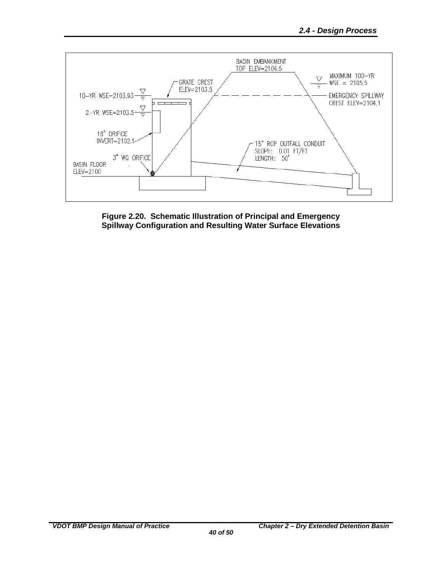

<span id="page-43-0"></span>**Figure 2.20. Schematic Illustration of Principal and Emergency Spillway Configuration and Resulting Water Surface Elevations**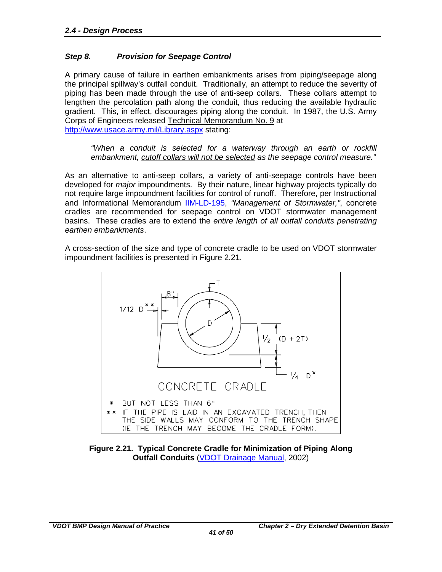#### <span id="page-44-0"></span>*Step 8. Provision for Seepage Control*

A primary cause of failure in earthen embankments arises from piping/seepage along the principal spillway's outfall conduit. Traditionally, an attempt to reduce the severity of piping has been made through the use of anti-seep collars. These collars attempt to lengthen the percolation path along the conduit, thus reducing the available hydraulic gradient. This, in effect, discourages piping along the conduit. In 1987, the U.S. Army Corps of Engineers released Technical Memorandum No. 9 at <http://www.usace.army.mil/Library.aspx> stating:

*"When a conduit is selected for a waterway through an earth or rockfill embankment, cutoff collars will not be selected as the seepage control measure."*

As an alternative to anti-seep collars, a variety of anti-seepage controls have been developed for *major* impoundments. By their nature, linear highway projects typically do not require large impoundment facilities for control of runoff. Therefore, per Instructional and Informational Memorandum [IIM-LD-195,](http://www.extranet.vdot.state.va.us/locdes/electronic_pubs/iim/IIM195.pdf) *"Management of Stormwater,"*, concrete cradles are recommended for seepage control on VDOT stormwater management basins. These cradles are to extend the *entire length of all outfall conduits penetrating earthen embankments*.

A cross-section of the size and type of concrete cradle to be used on VDOT stormwater impoundment facilities is presented in Figure 2.21.



<span id="page-44-1"></span>**Figure 2.21. Typical Concrete Cradle for Minimization of Piping Along Outfall Conduits** [\(VDOT Drainage Manual,](http://www.virginiadot.org/business/locdes/hydra-drainage-manual.asp) 2002)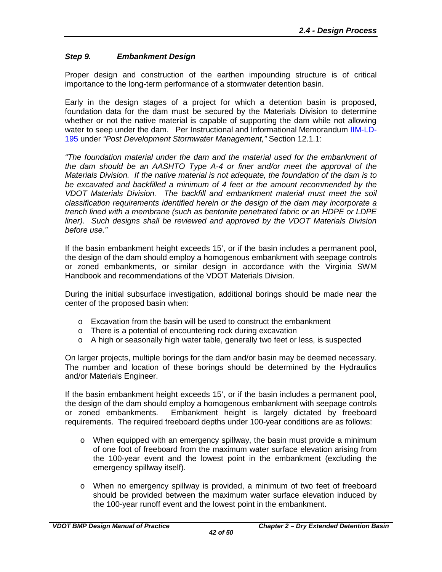#### <span id="page-45-0"></span>*Step 9. Embankment Design*

Proper design and construction of the earthen impounding structure is of critical importance to the long-term performance of a stormwater detention basin.

Early in the design stages of a project for which a detention basin is proposed, foundation data for the dam must be secured by the Materials Division to determine whether or not the native material is capable of supporting the dam while not allowing water to seep under the dam. Per Instructional and Informational Memorandum [IIM-LD-](http://www.extranet.vdot.state.va.us/locdes/electronic_pubs/iim/IIM195.pdf)[195](http://www.extranet.vdot.state.va.us/locdes/electronic_pubs/iim/IIM195.pdf) under *"Post Development Stormwater Management,"* Section 12.1.1:

*"The foundation material under the dam and the material used for the embankment of the dam should be an AASHTO Type A-4 or finer and/or meet the approval of the Materials Division. If the native material is not adequate, the foundation of the dam is to be excavated and backfilled a minimum of 4 feet or the amount recommended by the VDOT Materials Division. The backfill and embankment material must meet the soil classification requirements identified herein or the design of the dam may incorporate a trench lined with a membrane (such as bentonite penetrated fabric or an HDPE or LDPE liner). Such designs shall be reviewed and approved by the VDOT Materials Division before use."*

If the basin embankment height exceeds 15', or if the basin includes a permanent pool, the design of the dam should employ a homogenous embankment with seepage controls or zoned embankments, or similar design in accordance with the Virginia SWM Handbook and recommendations of the VDOT Materials Division.

During the initial subsurface investigation, additional borings should be made near the center of the proposed basin when:

- $\circ$  Excavation from the basin will be used to construct the embankment
- o There is a potential of encountering rock during excavation
- $\circ$  A high or seasonally high water table, generally two feet or less, is suspected

On larger projects, multiple borings for the dam and/or basin may be deemed necessary. The number and location of these borings should be determined by the Hydraulics and/or Materials Engineer.

If the basin embankment height exceeds 15', or if the basin includes a permanent pool, the design of the dam should employ a homogenous embankment with seepage controls or zoned embankments. Embankment height is largely dictated by freeboard requirements. The required freeboard depths under 100-year conditions are as follows:

- o When equipped with an emergency spillway, the basin must provide a minimum of one foot of freeboard from the maximum water surface elevation arising from the 100-year event and the lowest point in the embankment (excluding the emergency spillway itself).
- o When no emergency spillway is provided, a minimum of two feet of freeboard should be provided between the maximum water surface elevation induced by the 100-year runoff event and the lowest point in the embankment.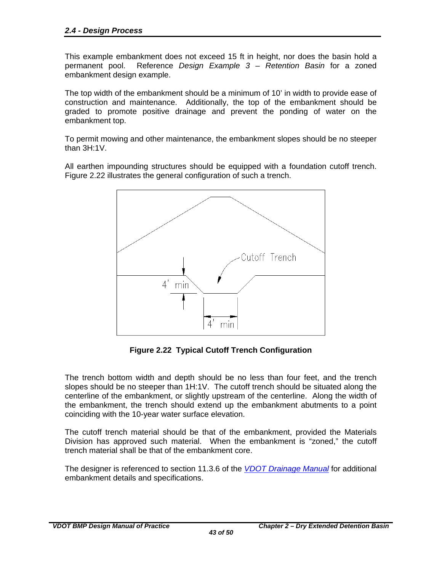This example embankment does not exceed 15 ft in height, nor does the basin hold a permanent pool. Reference *Design Example 3 – Retention Basin* for a zoned embankment design example.

The top width of the embankment should be a minimum of 10' in width to provide ease of construction and maintenance. Additionally, the top of the embankment should be graded to promote positive drainage and prevent the ponding of water on the embankment top.

To permit mowing and other maintenance, the embankment slopes should be no steeper than 3H:1V.

All earthen impounding structures should be equipped with a foundation cutoff trench. Figure 2.22 illustrates the general configuration of such a trench.



**Figure 2.22 Typical Cutoff Trench Configuration** 

<span id="page-46-0"></span>The trench bottom width and depth should be no less than four feet, and the trench slopes should be no steeper than 1H:1V. The cutoff trench should be situated along the centerline of the embankment, or slightly upstream of the centerline. Along the width of the embankment, the trench should extend up the embankment abutments to a point coinciding with the 10-year water surface elevation.

The cutoff trench material should be that of the embankment, provided the Materials Division has approved such material. When the embankment is "zoned," the cutoff trench material shall be that of the embankment core.

The designer is referenced to section 11.3.6 of the *[VDOT Drainage Manual](http://www.virginiadot.org/business/locdes/hydra-drainage-manual.asp)* for additional embankment details and specifications.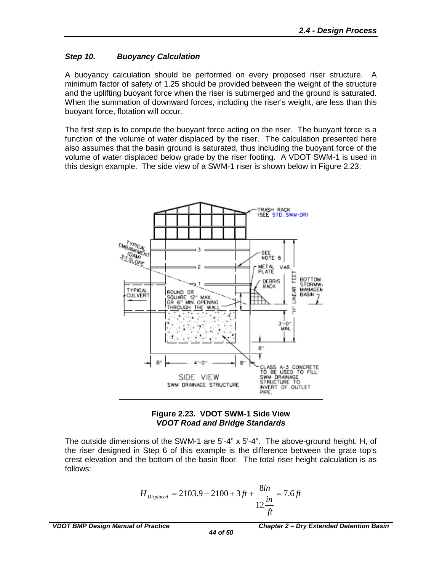#### <span id="page-47-0"></span>*Step 10. Buoyancy Calculation*

A buoyancy calculation should be performed on every proposed riser structure. A minimum factor of safety of 1.25 should be provided between the weight of the structure and the uplifting buoyant force when the riser is submerged and the ground is saturated. When the summation of downward forces, including the riser's weight, are less than this buoyant force, flotation will occur.

The first step is to compute the buoyant force acting on the riser. The buoyant force is a function of the volume of water displaced by the riser. The calculation presented here also assumes that the basin ground is saturated, thus including the buoyant force of the volume of water displaced below grade by the riser footing. A VDOT SWM-1 is used in this design example. The side view of a SWM-1 riser is shown below in Figure 2.23:





<span id="page-47-1"></span>The outside dimensions of the SWM-1 are 5'-4" x 5'-4". The above-ground height, H, of the riser designed in Step 6 of this example is the difference between the grate top's crest elevation and the bottom of the basin floor. The total riser height calculation is as follows:

$$
H_{\text{Displaced}} = 2103.9 - 2100 + 3ft + \frac{8in}{12\frac{in}{ft}} = 7.6ft
$$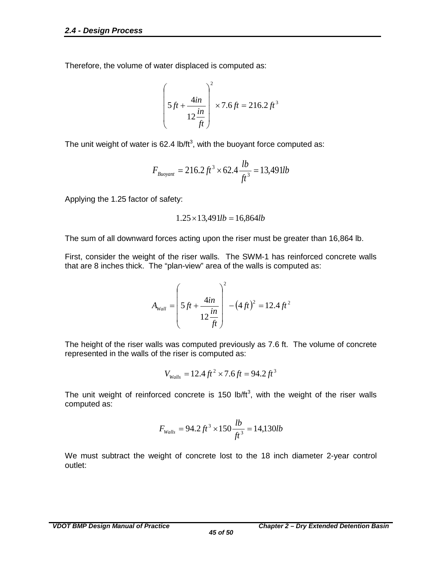Therefore, the volume of water displaced is computed as:

$$
\left(5ft + \frac{4in}{12 \frac{in}{ft}}\right)^2 \times 7.6 \, ft = 216.2 \, ft^3
$$

The unit weight of water is 62.4 lb/ft<sup>3</sup>, with the buoyant force computed as:

$$
F_{\text{Buoyant}} = 216.2 \, \text{ft}^3 \times 62.4 \, \frac{\text{lb}}{\text{ft}^3} = 13,491 \, \text{lb}
$$

Applying the 1.25 factor of safety:

$$
1.25 \times 13,491 lb = 16,864 lb
$$

The sum of all downward forces acting upon the riser must be greater than 16,864 lb.

First, consider the weight of the riser walls. The SWM-1 has reinforced concrete walls that are 8 inches thick. The "plan-view" area of the walls is computed as:

$$
A_{wall} = \left(5ft + \frac{4in}{12 \frac{in}{ft}}\right)^{2} - (4 \, ft)^{2} = 12.4 \, ft^{2}
$$

The height of the riser walls was computed previously as 7.6 ft. The volume of concrete represented in the walls of the riser is computed as:

$$
V_{\text{Walls}} = 12.4 \, \text{ft}^2 \times 7.6 \, \text{ft} = 94.2 \, \text{ft}^3
$$

The unit weight of reinforced concrete is 150 lb/ft<sup>3</sup>, with the weight of the riser walls computed as:

$$
F_{\text{walls}} = 94.2 \, \text{ft}^3 \times 150 \, \frac{lb}{\text{ft}^3} = 14,130 \, \text{lb}
$$

We must subtract the weight of concrete lost to the 18 inch diameter 2-year control outlet: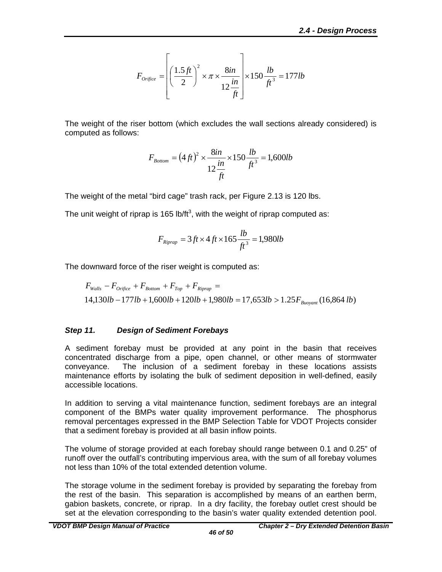$$
F_{\text{origice}} = \left[ \left( \frac{1.5 \, ft}{2} \right)^2 \times \pi \times \frac{8 \, in}{12 \, \frac{in}{ft}} \right] \times 150 \, \frac{lb}{ft^3} = 177 lb
$$

The weight of the riser bottom (which excludes the wall sections already considered) is computed as follows:

$$
F_{Bottom} = (4 \, ft)^2 \times \frac{8 \, in \,}{12 \, \frac{in}{ft}} \times 150 \, \frac{lb}{ft^3} = 1,600 \, lb
$$

The weight of the metal "bird cage" trash rack, per Figure 2.13 is 120 lbs.

The unit weight of riprap is 165 lb/ft<sup>3</sup>, with the weight of riprap computed as:

$$
F_{Riprap} = 3 ft \times 4 ft \times 165 \frac{lb}{ft^3} = 1,980 lb
$$

The downward force of the riser weight is computed as:

$$
F_{walls} - F_{orifice} + F_{Bottom} + F_{Top} + F_{kiprap} =
$$
  
14,130*lb* – 177*lb* + 1,600*lb* + 120*lb* + 1,980*lb* = 17,653*lb* > 1.25 $F_{Buoyant}$  (16,864*lb*)

#### <span id="page-49-0"></span>*Step 11. Design of Sediment Forebays*

A sediment forebay must be provided at any point in the basin that receives concentrated discharge from a pipe, open channel, or other means of stormwater conveyance. The inclusion of a sediment forebay in these locations assists maintenance efforts by isolating the bulk of sediment deposition in well-defined, easily accessible locations.

In addition to serving a vital maintenance function, sediment forebays are an integral component of the BMPs water quality improvement performance. The phosphorus removal percentages expressed in the BMP Selection Table for VDOT Projects consider that a sediment forebay is provided at all basin inflow points.

The volume of storage provided at each forebay should range between 0.1 and 0.25" of runoff over the outfall's contributing impervious area, with the sum of all forebay volumes not less than 10% of the total extended detention volume.

The storage volume in the sediment forebay is provided by separating the forebay from the rest of the basin. This separation is accomplished by means of an earthen berm, gabion baskets, concrete, or riprap. In a dry facility, the forebay outlet crest should be set at the elevation corresponding to the basin's water quality extended detention pool.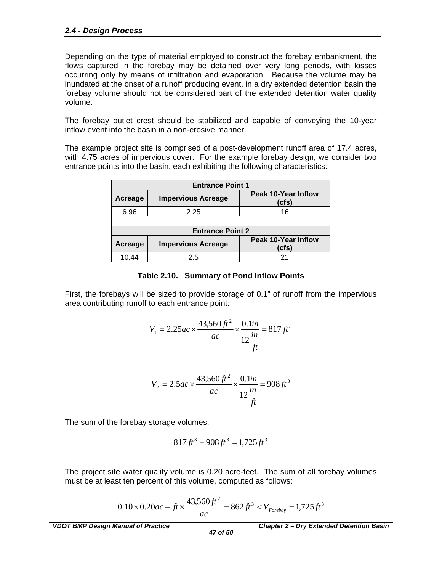Depending on the type of material employed to construct the forebay embankment, the flows captured in the forebay may be detained over very long periods, with losses occurring only by means of infiltration and evaporation. Because the volume may be inundated at the onset of a runoff producing event, in a dry extended detention basin the forebay volume should not be considered part of the extended detention water quality volume.

The forebay outlet crest should be stabilized and capable of conveying the 10-year inflow event into the basin in a non-erosive manner.

The example project site is comprised of a post-development runoff area of 17.4 acres, with 4.75 acres of impervious cover. For the example forebay design, we consider two entrance points into the basin, each exhibiting the following characteristics:

| <b>Entrance Point 1</b> |                           |                                     |  |  |  |  |  |  |  |
|-------------------------|---------------------------|-------------------------------------|--|--|--|--|--|--|--|
| Acreage                 | <b>Impervious Acreage</b> | Peak 10-Year Inflow<br>(cfs)        |  |  |  |  |  |  |  |
| 6.96                    | 2.25                      | 16                                  |  |  |  |  |  |  |  |
|                         |                           |                                     |  |  |  |  |  |  |  |
| <b>Entrance Point 2</b> |                           |                                     |  |  |  |  |  |  |  |
| Acreage                 | <b>Impervious Acreage</b> | <b>Peak 10-Year Inflow</b><br>(cfs) |  |  |  |  |  |  |  |
| 10.44                   | 2.5                       |                                     |  |  |  |  |  |  |  |

#### **Table 2.10. Summary of Pond Inflow Points**

<span id="page-50-0"></span>First, the forebays will be sized to provide storage of 0.1" of runoff from the impervious area contributing runoff to each entrance point:

$$
V_1 = 2.25ac \times \frac{43,560 \, \text{ft}^2}{ac} \times \frac{0.1 \, \text{in}}{12 \, \frac{\text{in}}{\text{ft}}} = 817 \, \text{ft}^3
$$

$$
V_2 = 2.5ac \times \frac{43,560 \, \text{ft}^2}{ac} \times \frac{0.1 \, \text{in}}{12 \, \frac{\text{in}}{\text{ft}}} = 908 \, \text{ft}^3
$$

The sum of the forebay storage volumes:

$$
817 ft^3 + 908 ft^3 = 1,725 ft^3
$$

The project site water quality volume is 0.20 acre-feet. The sum of all forebay volumes must be at least ten percent of this volume, computed as follows:

$$
0.10 \times 0.20ac - ft \times \frac{43,560ft^2}{ac} = 862 ft^3 < V_{\text{Forebay}} = 1,725 ft^3
$$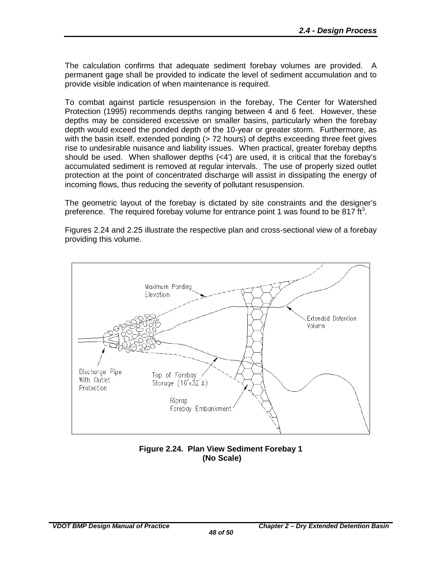The calculation confirms that adequate sediment forebay volumes are provided. A permanent gage shall be provided to indicate the level of sediment accumulation and to provide visible indication of when maintenance is required.

To combat against particle resuspension in the forebay, The Center for Watershed Protection (1995) recommends depths ranging between 4 and 6 feet. However, these depths may be considered excessive on smaller basins, particularly when the forebay depth would exceed the ponded depth of the 10-year or greater storm. Furthermore, as with the basin itself, extended ponding (> 72 hours) of depths exceeding three feet gives rise to undesirable nuisance and liability issues. When practical, greater forebay depths should be used. When shallower depths  $( $4$ )$  are used, it is critical that the forebay's accumulated sediment is removed at regular intervals. The use of properly sized outlet protection at the point of concentrated discharge will assist in dissipating the energy of incoming flows, thus reducing the severity of pollutant resuspension.

The geometric layout of the forebay is dictated by site constraints and the designer's preference. The required forebay volume for entrance point 1 was found to be 817 ft<sup>3</sup>.

Figures 2.24 and 2.25 illustrate the respective plan and cross-sectional view of a forebay providing this volume.



#### <span id="page-51-0"></span>**Figure 2.24. Plan View Sediment Forebay 1 (No Scale)**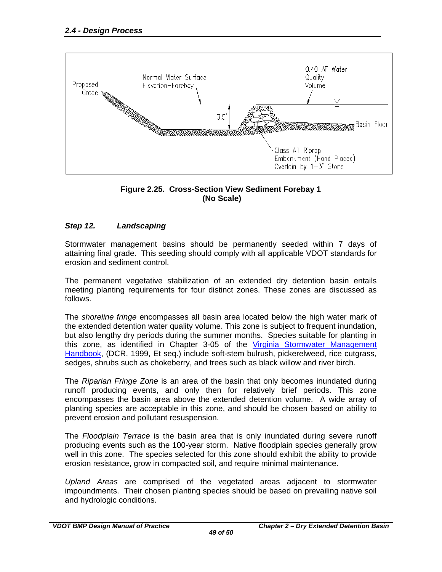



#### <span id="page-52-1"></span><span id="page-52-0"></span>*Step 12. Landscaping*

Stormwater management basins should be permanently seeded within 7 days of attaining final grade. This seeding should comply with all applicable VDOT standards for erosion and sediment control.

The permanent vegetative stabilization of an extended dry detention basin entails meeting planting requirements for four distinct zones. These zones are discussed as follows.

The *shoreline fringe* encompasses all basin area located below the high water mark of the extended detention water quality volume. This zone is subject to frequent inundation, but also lengthy dry periods during the summer months. Species suitable for planting in this zone, as identified in Chapter 3-05 of the [Virginia Stormwater Management](http://www.virginiadot.org/business/locdes/hydra-drainage-manual.asp)  [Handbook,](http://www.virginiadot.org/business/locdes/hydra-drainage-manual.asp) (DCR, 1999, Et seq.) include soft-stem bulrush, pickerelweed, rice cutgrass, sedges, shrubs such as chokeberry, and trees such as black willow and river birch.

The *Riparian Fringe Zone* is an area of the basin that only becomes inundated during runoff producing events, and only then for relatively brief periods. This zone encompasses the basin area above the extended detention volume. A wide array of planting species are acceptable in this zone, and should be chosen based on ability to prevent erosion and pollutant resuspension.

The *Floodplain Terrace* is the basin area that is only inundated during severe runoff producing events such as the 100-year storm. Native floodplain species generally grow well in this zone. The species selected for this zone should exhibit the ability to provide erosion resistance, grow in compacted soil, and require minimal maintenance.

*Upland Areas* are comprised of the vegetated areas adjacent to stormwater impoundments. Their chosen planting species should be based on prevailing native soil and hydrologic conditions.